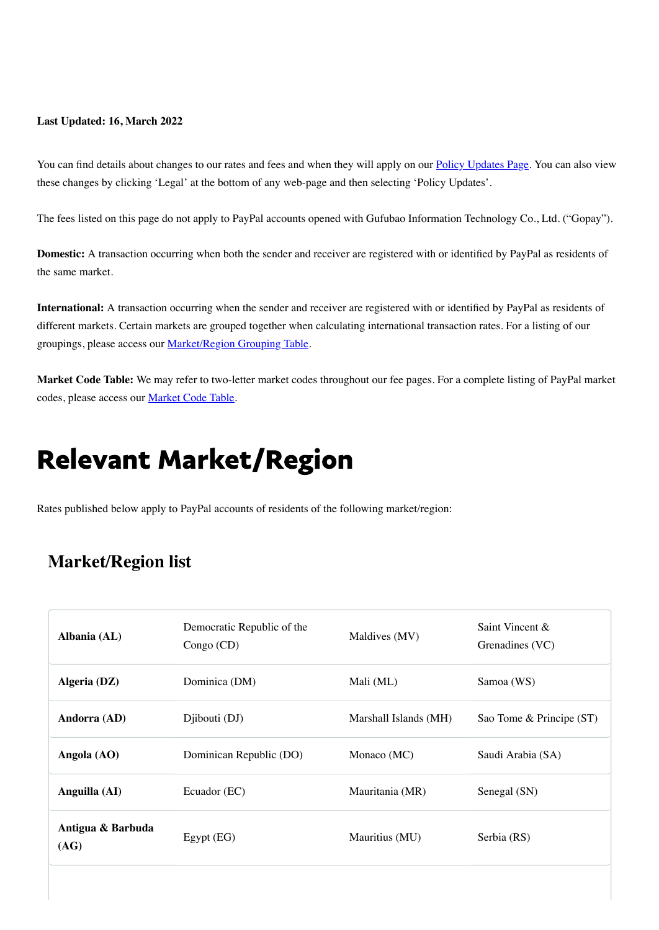#### **Last Updated: 16, March 2022**

<span id="page-0-0"></span>You can find details about changes to our rates and fees and when they will apply on our **Policy Updates Page**. You can also view these changes by clicking 'Legal' at the bottom of any web-page and then selecting 'Policy Updates'.

The fees listed on this page do not apply to PayPal accounts opened with Gufubao Information Technology Co., Ltd. ("Gopay").

**Domestic:** A transaction occurring when both the sender and receiver are registered with or identified by PayPal as residents of the same market.

**International:** A transaction occurring when the sender and receiver are registered with or identified by PayPal as residents of different markets. Certain markets are grouped together when calculating international transaction rates. For a listing of our groupings, please access our [Market/Region Grouping Table](#page-0-0).

**Market Code Table:** We may refer to two-letter market codes throughout our fee pages. For a complete listing of PayPal market codes, please access our [Market Code Table.](#page-0-0)

## Relevant Market/Region

Rates published below apply to PayPal accounts of residents of the following market/region:

#### **Market/Region list**

| Albania (AL)              | Democratic Republic of the<br>Congo $(CD)$ | Maldives (MV)         | Saint Vincent &<br>Grenadines (VC) |
|---------------------------|--------------------------------------------|-----------------------|------------------------------------|
| Algeria (DZ)              | Dominica (DM)                              | Mali (ML)             | Samoa (WS)                         |
| Andorra (AD)              | Djibouti (DJ)                              | Marshall Islands (MH) | Sao Tome & Principe (ST)           |
| Angola (AO)               | Dominican Republic (DO)                    | Monaco (MC)           | Saudi Arabia (SA)                  |
| Anguilla (AI)             | Ecuador (EC)                               | Mauritania (MR)       | Senegal (SN)                       |
| Antigua & Barbuda<br>(AG) | Egypt (EG)                                 | Mauritius (MU)        | Serbia (RS)                        |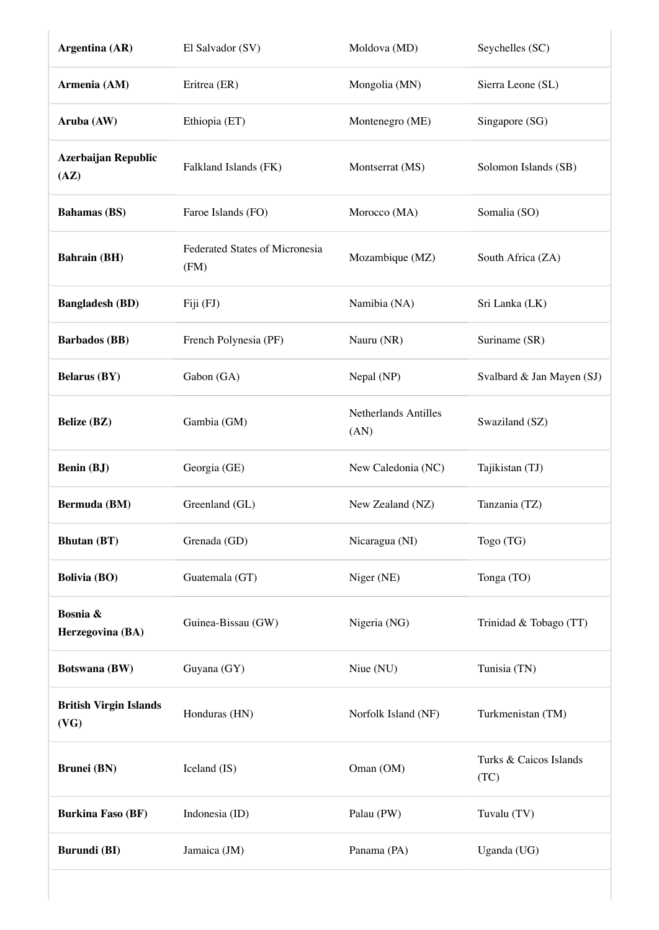| Armenia (AM)<br>Eritrea (ER)<br>Mongolia (MN)<br>Sierra Leone (SL)<br>Aruba (AW)<br>Ethiopia (ET)<br>Montenegro (ME)<br>Singapore (SG)<br><b>Azerbaijan Republic</b><br>Falkland Islands (FK)<br>Montserrat (MS)<br>Solomon Islands (SB)<br>(AZ)<br>Faroe Islands (FO)<br>Somalia (SO)<br><b>Bahamas</b> (BS)<br>Morocco (MA)<br>Federated States of Micronesia<br>Mozambique (MZ)<br><b>Bahrain</b> (BH)<br>South Africa (ZA)<br>(FM)<br>Fiji (FJ)<br>Namibia (NA)<br>Sri Lanka (LK)<br><b>Bangladesh (BD)</b><br><b>Barbados</b> (BB)<br>French Polynesia (PF)<br>Nauru (NR)<br>Suriname (SR)<br><b>Belarus</b> (BY)<br>Gabon (GA)<br>Nepal (NP)<br>Svalbard & Jan Mayen (SJ)<br>Netherlands Antilles<br>Gambia (GM)<br>Swaziland (SZ)<br>(AN)<br><b>Benin (BJ)</b><br>Georgia (GE)<br>New Caledonia (NC)<br>Tajikistan (TJ)<br><b>Bermuda</b> (BM)<br>Greenland (GL)<br>New Zealand (NZ)<br>Tanzania (TZ)<br><b>Bhutan</b> (BT)<br>Grenada (GD)<br>Nicaragua (NI)<br>Togo (TG)<br>Guatemala (GT)<br>Niger (NE)<br>Tonga (TO)<br>Bosnia &<br>Guinea-Bissau (GW)<br>Nigeria (NG)<br>Trinidad & Tobago (TT)<br>Herzegovina (BA)<br>Guyana (GY)<br>Botswana (BW)<br>Niue (NU)<br>Tunisia (TN)<br><b>British Virgin Islands</b><br>Honduras (HN)<br>Norfolk Island (NF)<br>Turkmenistan (TM)<br>(VG)<br>Turks & Caicos Islands<br>Oman (OM)<br><b>Brunei</b> (BN)<br>Iceland (IS)<br>(TC)<br><b>Burkina Faso (BF)</b><br>Indonesia (ID)<br>Palau (PW)<br>Tuvalu (TV)<br><b>Burundi</b> (BI)<br>Jamaica (JM)<br>Panama (PA)<br>Uganda (UG) | <b>Argentina (AR)</b> | El Salvador (SV) | Moldova (MD) | Seychelles (SC) |
|-----------------------------------------------------------------------------------------------------------------------------------------------------------------------------------------------------------------------------------------------------------------------------------------------------------------------------------------------------------------------------------------------------------------------------------------------------------------------------------------------------------------------------------------------------------------------------------------------------------------------------------------------------------------------------------------------------------------------------------------------------------------------------------------------------------------------------------------------------------------------------------------------------------------------------------------------------------------------------------------------------------------------------------------------------------------------------------------------------------------------------------------------------------------------------------------------------------------------------------------------------------------------------------------------------------------------------------------------------------------------------------------------------------------------------------------------------------------------------------------------------------------------------------------|-----------------------|------------------|--------------|-----------------|
|                                                                                                                                                                                                                                                                                                                                                                                                                                                                                                                                                                                                                                                                                                                                                                                                                                                                                                                                                                                                                                                                                                                                                                                                                                                                                                                                                                                                                                                                                                                                         |                       |                  |              |                 |
|                                                                                                                                                                                                                                                                                                                                                                                                                                                                                                                                                                                                                                                                                                                                                                                                                                                                                                                                                                                                                                                                                                                                                                                                                                                                                                                                                                                                                                                                                                                                         |                       |                  |              |                 |
|                                                                                                                                                                                                                                                                                                                                                                                                                                                                                                                                                                                                                                                                                                                                                                                                                                                                                                                                                                                                                                                                                                                                                                                                                                                                                                                                                                                                                                                                                                                                         |                       |                  |              |                 |
|                                                                                                                                                                                                                                                                                                                                                                                                                                                                                                                                                                                                                                                                                                                                                                                                                                                                                                                                                                                                                                                                                                                                                                                                                                                                                                                                                                                                                                                                                                                                         |                       |                  |              |                 |
|                                                                                                                                                                                                                                                                                                                                                                                                                                                                                                                                                                                                                                                                                                                                                                                                                                                                                                                                                                                                                                                                                                                                                                                                                                                                                                                                                                                                                                                                                                                                         |                       |                  |              |                 |
|                                                                                                                                                                                                                                                                                                                                                                                                                                                                                                                                                                                                                                                                                                                                                                                                                                                                                                                                                                                                                                                                                                                                                                                                                                                                                                                                                                                                                                                                                                                                         |                       |                  |              |                 |
|                                                                                                                                                                                                                                                                                                                                                                                                                                                                                                                                                                                                                                                                                                                                                                                                                                                                                                                                                                                                                                                                                                                                                                                                                                                                                                                                                                                                                                                                                                                                         |                       |                  |              |                 |
|                                                                                                                                                                                                                                                                                                                                                                                                                                                                                                                                                                                                                                                                                                                                                                                                                                                                                                                                                                                                                                                                                                                                                                                                                                                                                                                                                                                                                                                                                                                                         |                       |                  |              |                 |
|                                                                                                                                                                                                                                                                                                                                                                                                                                                                                                                                                                                                                                                                                                                                                                                                                                                                                                                                                                                                                                                                                                                                                                                                                                                                                                                                                                                                                                                                                                                                         | <b>Belize</b> (BZ)    |                  |              |                 |
|                                                                                                                                                                                                                                                                                                                                                                                                                                                                                                                                                                                                                                                                                                                                                                                                                                                                                                                                                                                                                                                                                                                                                                                                                                                                                                                                                                                                                                                                                                                                         |                       |                  |              |                 |
|                                                                                                                                                                                                                                                                                                                                                                                                                                                                                                                                                                                                                                                                                                                                                                                                                                                                                                                                                                                                                                                                                                                                                                                                                                                                                                                                                                                                                                                                                                                                         |                       |                  |              |                 |
|                                                                                                                                                                                                                                                                                                                                                                                                                                                                                                                                                                                                                                                                                                                                                                                                                                                                                                                                                                                                                                                                                                                                                                                                                                                                                                                                                                                                                                                                                                                                         |                       |                  |              |                 |
|                                                                                                                                                                                                                                                                                                                                                                                                                                                                                                                                                                                                                                                                                                                                                                                                                                                                                                                                                                                                                                                                                                                                                                                                                                                                                                                                                                                                                                                                                                                                         | <b>Bolivia (BO)</b>   |                  |              |                 |
|                                                                                                                                                                                                                                                                                                                                                                                                                                                                                                                                                                                                                                                                                                                                                                                                                                                                                                                                                                                                                                                                                                                                                                                                                                                                                                                                                                                                                                                                                                                                         |                       |                  |              |                 |
|                                                                                                                                                                                                                                                                                                                                                                                                                                                                                                                                                                                                                                                                                                                                                                                                                                                                                                                                                                                                                                                                                                                                                                                                                                                                                                                                                                                                                                                                                                                                         |                       |                  |              |                 |
|                                                                                                                                                                                                                                                                                                                                                                                                                                                                                                                                                                                                                                                                                                                                                                                                                                                                                                                                                                                                                                                                                                                                                                                                                                                                                                                                                                                                                                                                                                                                         |                       |                  |              |                 |
|                                                                                                                                                                                                                                                                                                                                                                                                                                                                                                                                                                                                                                                                                                                                                                                                                                                                                                                                                                                                                                                                                                                                                                                                                                                                                                                                                                                                                                                                                                                                         |                       |                  |              |                 |
|                                                                                                                                                                                                                                                                                                                                                                                                                                                                                                                                                                                                                                                                                                                                                                                                                                                                                                                                                                                                                                                                                                                                                                                                                                                                                                                                                                                                                                                                                                                                         |                       |                  |              |                 |
|                                                                                                                                                                                                                                                                                                                                                                                                                                                                                                                                                                                                                                                                                                                                                                                                                                                                                                                                                                                                                                                                                                                                                                                                                                                                                                                                                                                                                                                                                                                                         |                       |                  |              |                 |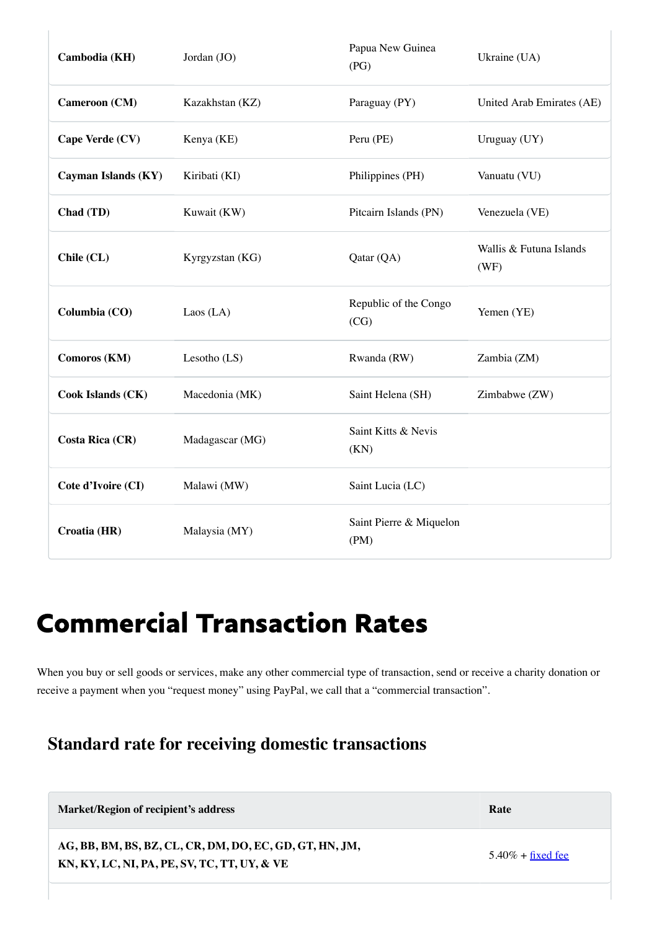| Cambodia (KH)            | Jordan (JO)     | Papua New Guinea<br>(PG)        | Ukraine (UA)                    |
|--------------------------|-----------------|---------------------------------|---------------------------------|
| Cameroon (CM)            | Kazakhstan (KZ) | Paraguay (PY)                   | United Arab Emirates (AE)       |
| Cape Verde (CV)          | Kenya (KE)      | Peru (PE)                       | Uruguay (UY)                    |
| Cayman Islands (KY)      | Kiribati (KI)   | Philippines (PH)                | Vanuatu (VU)                    |
| Chad (TD)                | Kuwait (KW)     | Pitcairn Islands (PN)           | Venezuela (VE)                  |
| Chile (CL)               | Kyrgyzstan (KG) | Qatar (QA)                      | Wallis & Futuna Islands<br>(WF) |
| Columbia (CO)            | Laos $(LA)$     | Republic of the Congo<br>(CG)   | Yemen (YE)                      |
| Comoros (KM)             | Lesotho (LS)    | Rwanda (RW)                     | Zambia (ZM)                     |
| <b>Cook Islands (CK)</b> | Macedonia (MK)  | Saint Helena (SH)               | Zimbabwe (ZW)                   |
| <b>Costa Rica (CR)</b>   | Madagascar (MG) | Saint Kitts & Nevis<br>(KN)     |                                 |
| Cote d'Ivoire (CI)       | Malawi (MW)     | Saint Lucia (LC)                |                                 |
| Croatia (HR)             | Malaysia (MY)   | Saint Pierre & Miquelon<br>(PM) |                                 |

## <span id="page-2-0"></span>Commercial Transaction Rates

When you buy or sell goods or services, make any other commercial type of transaction, send or receive a charity donation or receive a payment when you "request money" using PayPal, we call that a "commercial transaction".

#### **Standard rate for receiving domestic transactions**

| Market/Region of recipient's address                    | Rate                        |
|---------------------------------------------------------|-----------------------------|
| AG, BB, BM, BS, BZ, CL, CR, DM, DO, EC, GD, GT, HN, JM, | $5.40\% + \text{fixed fee}$ |
| KN, KY, LC, NI, PA, PE, SV, TC, TT, UY, & VE            |                             |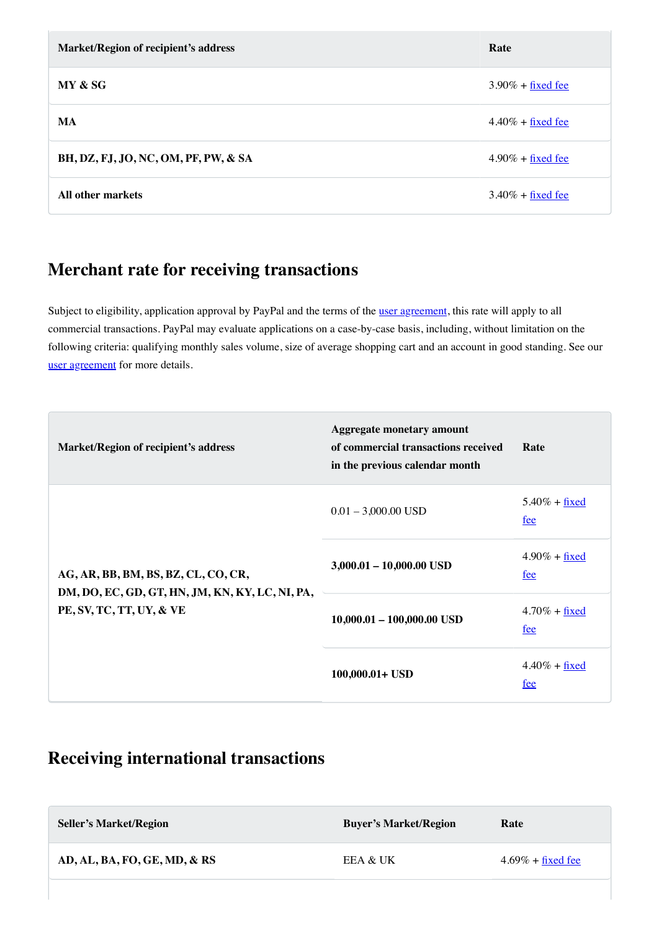| Market/Region of recipient's address | Rate                             |
|--------------------------------------|----------------------------------|
| MY & SG                              | $3.90\% + \text{fixed fee}$      |
| MA                                   | $4.40\% + \text{fixed fee}$      |
| BH, DZ, FJ, JO, NC, OM, PF, PW, & SA | $4.90\% + \underline{fixed}$ fee |
| All other markets                    | $3.40\% + \text{fixed fee}$      |

#### **Merchant rate for receiving transactions**

Subject to eligibility, application approval by PayPal and the terms of the *user agreement*, this rate will apply to all commercial transactions. PayPal may evaluate applications on a case-by-case basis, including, without limitation on the following criteria: qualifying monthly sales volume, size of average shopping cart and an account in good standing. See our [user agreement](https://www.paypal.com/eg/webapps/mpp/ua/useragreement-full) for more details.

| <b>Market/Region of recipient's address</b>                                                                        | <b>Aggregate monetary amount</b><br>of commercial transactions received<br>in the previous calendar month | Rate                                       |
|--------------------------------------------------------------------------------------------------------------------|-----------------------------------------------------------------------------------------------------------|--------------------------------------------|
| AG, AR, BB, BM, BS, BZ, CL, CO, CR,<br>DM, DO, EC, GD, GT, HN, JM, KN, KY, LC, NI, PA,<br>PE, SV, TC, TT, UY, & VE | $0.01 - 3,000.00$ USD                                                                                     | $5.40\% + \text{fixed}$<br>fee             |
|                                                                                                                    | $3,000.01 - 10,000.00$ USD                                                                                | $4.90\% + \text{fixed}$<br>fee             |
|                                                                                                                    | $10,000.01 - 100,000.00$ USD                                                                              | $4.70\% + \underline{fixed}$<br><u>fee</u> |
|                                                                                                                    | 100,000.01+ USD                                                                                           | $4.40\% + \underline{fixed}$<br>fee        |

#### **Receiving international transactions**

| <b>Seller's Market/Region</b> | <b>Buyer's Market/Region</b> | Rate                 |
|-------------------------------|------------------------------|----------------------|
| AD, AL, BA, FO, GE, MD, & RS  | EEA & UK                     | $4.69\% + fixed$ fee |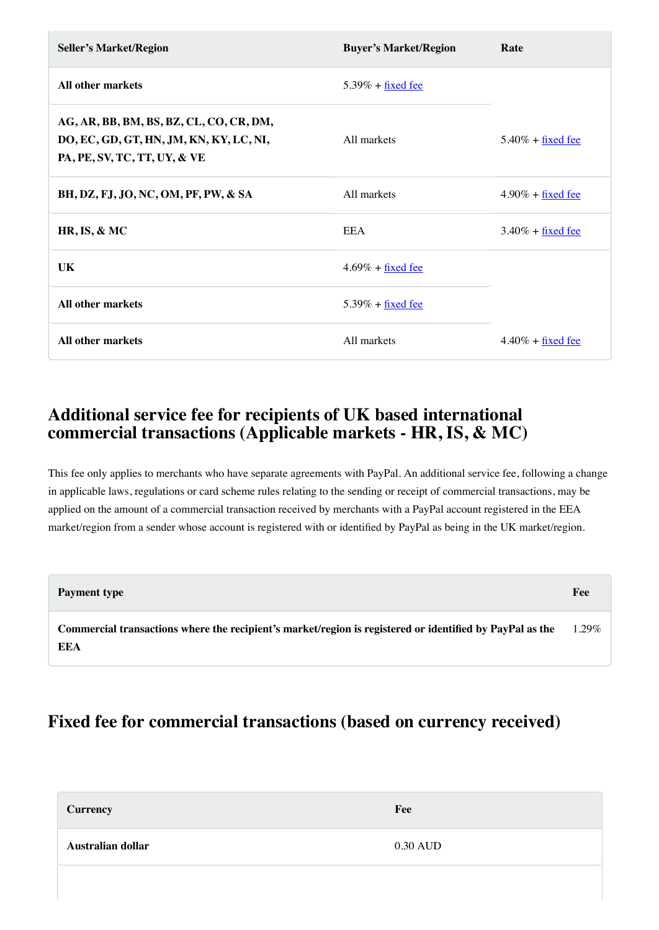| <b>Seller's Market/Region</b>                                                                                      | <b>Buyer's Market/Region</b>     | Rate                             |
|--------------------------------------------------------------------------------------------------------------------|----------------------------------|----------------------------------|
| <b>All other markets</b>                                                                                           | $5.39\% + \text{fixed fee}$      |                                  |
| AG, AR, BB, BM, BS, BZ, CL, CO, CR, DM,<br>DO, EC, GD, GT, HN, JM, KN, KY, LC, NI,<br>PA, PE, SV, TC, TT, UY, & VE | All markets                      | $5.40\% + \text{fixed fee}$      |
| BH, DZ, FJ, JO, NC, OM, PF, PW, & SA                                                                               | All markets                      | $4.90\% + \underline{fixed}$ fee |
| HR, IS, & MC                                                                                                       | <b>EEA</b>                       | $3.40\% + \text{fixed fee}$      |
| UK                                                                                                                 | $4.69\% + fixed$ fee             |                                  |
| <b>All other markets</b>                                                                                           | $5.39\% + \underline{fixed}$ fee |                                  |
| <b>All other markets</b>                                                                                           | All markets                      | $4.40\% + \underline{fixed}$ fee |

#### **Additional service fee for recipients of UK based international commercial transactions (Applicable markets - HR, IS, & MC)**

This fee only applies to merchants who have separate agreements with PayPal. An additional service fee, following a change in applicable laws, regulations or card scheme rules relating to the sending or receipt of commercial transactions, may be applied on the amount of a commercial transaction received by merchants with a PayPal account registered in the EEA market/region from a sender whose account is registered with or identified by PayPal as being in the UK market/region.

| <b>Payment type</b>                                                                                             | Fee   |
|-----------------------------------------------------------------------------------------------------------------|-------|
| Commercial transactions where the recipient's market/region is registered or identified by PayPal as the<br>EEA | 1.29% |

#### <span id="page-4-0"></span>**Fixed fee for commercial transactions (based on currency received)**

| <b>Currency</b>   | Fee      |
|-------------------|----------|
| Australian dollar | 0.30 AUD |
|                   |          |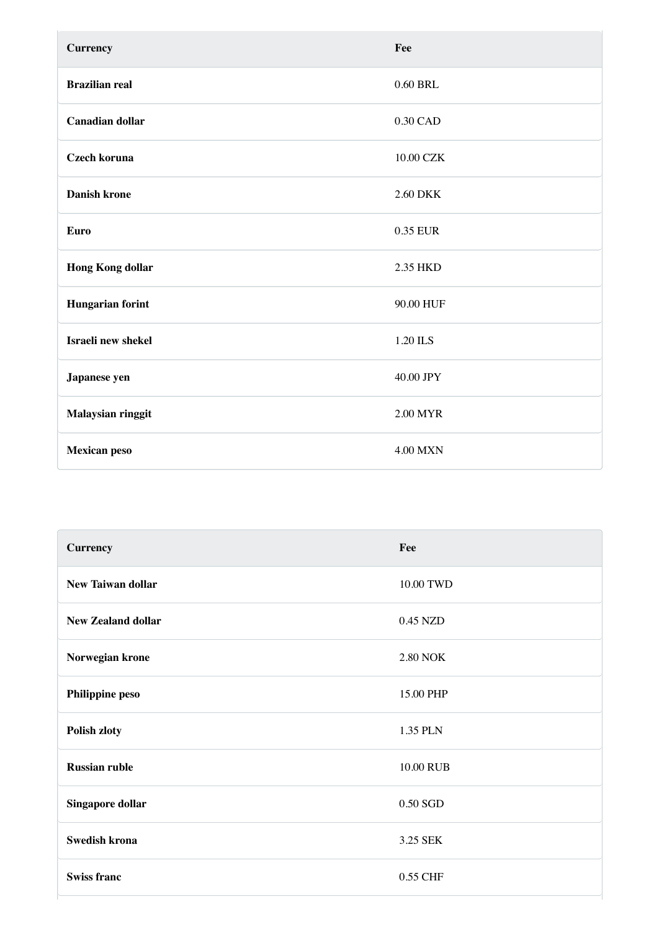| <b>Currency</b>         | Fee             |
|-------------------------|-----------------|
| <b>Brazilian real</b>   | 0.60 BRL        |
| <b>Canadian dollar</b>  | 0.30 CAD        |
| <b>Czech koruna</b>     | 10.00 CZK       |
| <b>Danish krone</b>     | 2.60 DKK        |
| Euro                    | 0.35 EUR        |
| <b>Hong Kong dollar</b> | 2.35 HKD        |
| <b>Hungarian forint</b> | 90.00 HUF       |
| Israeli new shekel      | 1.20 ILS        |
| Japanese yen            | 40.00 JPY       |
| Malaysian ringgit       | 2.00 MYR        |
| <b>Mexican peso</b>     | <b>4.00 MXN</b> |

| Fee             |
|-----------------|
| 10.00 TWD       |
| 0.45 NZD        |
| <b>2.80 NOK</b> |
| 15.00 PHP       |
| 1.35 PLN        |
| 10.00 RUB       |
| 0.50 SGD        |
| 3.25 SEK        |
| 0.55 CHF        |
|                 |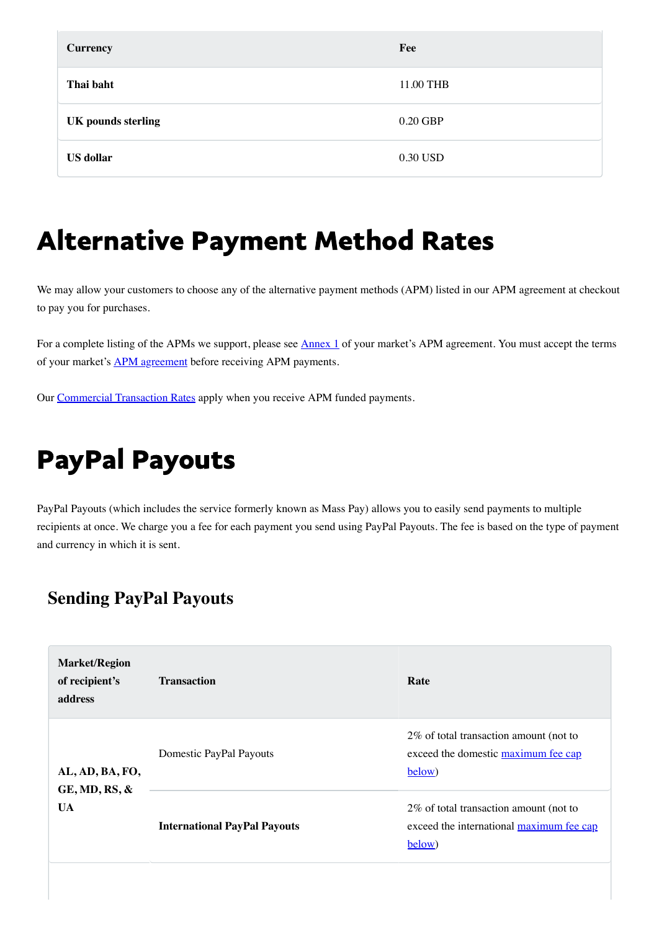| <b>Currency</b>           | Fee       |
|---------------------------|-----------|
| Thai baht                 | 11.00 THB |
| <b>UK</b> pounds sterling | 0.20 GBP  |
| <b>US</b> dollar          | 0.30 USD  |

### Alternative Payment Method Rates

We may allow your customers to choose any of the alternative payment methods (APM) listed in our APM agreement at checkout to pay you for purchases.

For a complete listing of the APMs we support, please see [Annex 1](https://www.paypal.com/eg/webapps/mpp/ua/apm-tnc#annex1) of your market's APM agreement. You must accept the terms of your market's **APM** agreement before receiving APM payments.

Our **[Commercial Transaction Rates](#page-2-0)** apply when you receive APM funded payments.

### PayPal Payouts

PayPal Payouts (which includes the service formerly known as Mass Pay) allows you to easily send payments to multiple recipients at once. We charge you a fee for each payment you send using PayPal Payouts. The fee is based on the type of payment and currency in which it is sent.

#### **Sending PayPal Payouts**

<span id="page-6-0"></span>

| <b>Market/Region</b><br>of recipient's<br>address | <b>Transaction</b>                  | Rate                                                                                          |
|---------------------------------------------------|-------------------------------------|-----------------------------------------------------------------------------------------------|
| AL, AD, BA, FO,<br>$GE, MD, RS, \&$               | Domestic PayPal Payouts             | 2% of total transaction amount (not to<br>exceed the domestic maximum fee cap<br>below)       |
| <b>UA</b>                                         | <b>International PayPal Payouts</b> | 2\% of total transaction amount (not to<br>exceed the international maximum fee cap<br>below) |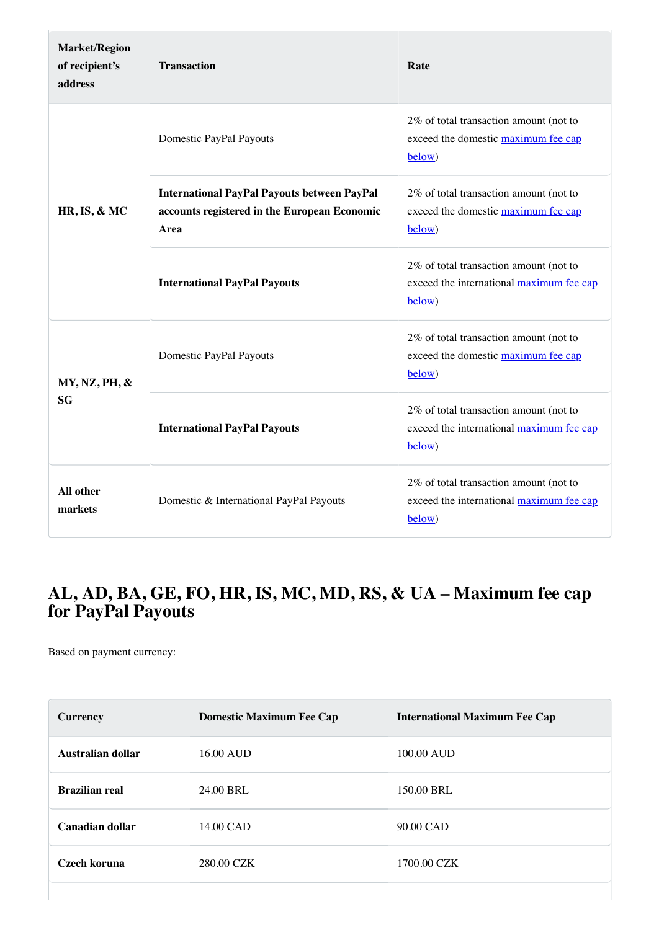| <b>Market/Region</b><br>of recipient's<br>address | <b>Transaction</b>                                                                                         | Rate                                                                                         |
|---------------------------------------------------|------------------------------------------------------------------------------------------------------------|----------------------------------------------------------------------------------------------|
|                                                   | Domestic PayPal Payouts                                                                                    | 2% of total transaction amount (not to<br>exceed the domestic maximum fee cap<br>below)      |
| HR, IS, & MC                                      | <b>International PayPal Payouts between PayPal</b><br>accounts registered in the European Economic<br>Area | 2% of total transaction amount (not to<br>exceed the domestic maximum fee cap<br>below)      |
|                                                   | <b>International PayPal Payouts</b>                                                                        | 2% of total transaction amount (not to<br>exceed the international maximum fee cap<br>below) |
| MY, NZ, PH, &                                     | Domestic PayPal Payouts                                                                                    | 2% of total transaction amount (not to<br>exceed the domestic maximum fee cap<br>below)      |
| <b>SG</b>                                         | <b>International PayPal Payouts</b>                                                                        | 2% of total transaction amount (not to<br>exceed the international maximum fee cap<br>below) |
| All other<br>markets                              | Domestic & International PayPal Payouts                                                                    | 2% of total transaction amount (not to<br>exceed the international maximum fee cap<br>below) |

#### **AL, AD, BA, GE, FO, HR, IS, MC, MD, RS, & UA – Maximum fee cap for PayPal Payouts**

Based on payment currency:

| <b>Domestic Maximum Fee Cap</b> | <b>International Maximum Fee Cap</b> |
|---------------------------------|--------------------------------------|
| $16.00 \text{ AUD}$             | 100.00 AUD                           |
| 24.00 BRL                       | 150.00 BRL                           |
| 14.00 CAD                       | 90.00 CAD                            |
| 280.00 CZK                      | 1700.00 CZK                          |
|                                 |                                      |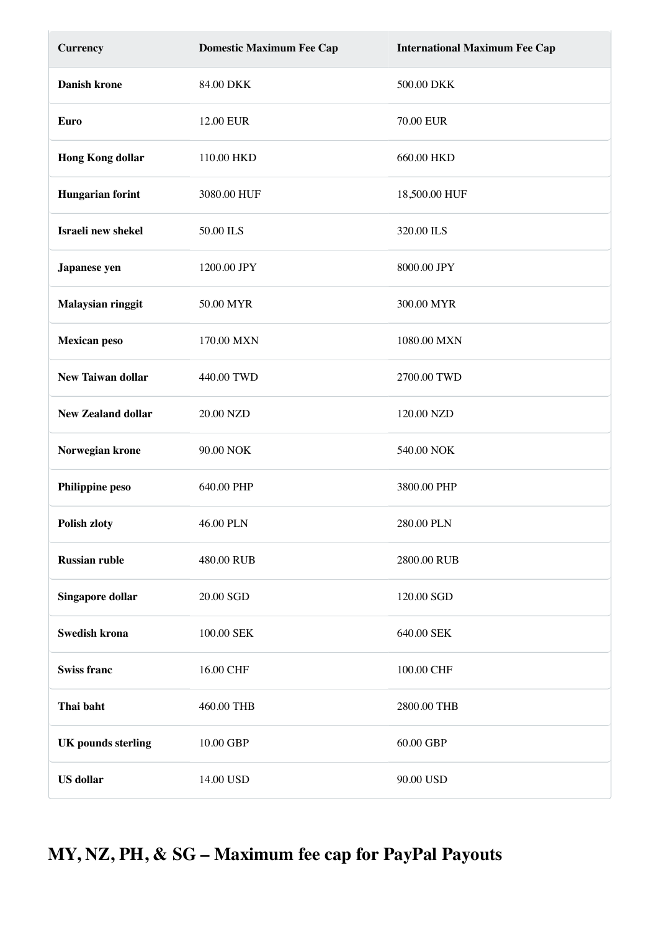| <b>Currency</b>           | <b>Domestic Maximum Fee Cap</b> | <b>International Maximum Fee Cap</b> |
|---------------------------|---------------------------------|--------------------------------------|
| <b>Danish krone</b>       | 84.00 DKK                       | 500.00 DKK                           |
| <b>Euro</b>               | 12.00 EUR                       | 70.00 EUR                            |
| <b>Hong Kong dollar</b>   | 110.00 HKD                      | 660.00 HKD                           |
| <b>Hungarian forint</b>   | 3080.00 HUF                     | 18,500.00 HUF                        |
| Israeli new shekel        | 50.00 ILS                       | 320.00 ILS                           |
| Japanese yen              | 1200.00 JPY                     | 8000.00 JPY                          |
| Malaysian ringgit         | 50.00 MYR                       | 300.00 MYR                           |
| <b>Mexican peso</b>       | 170.00 MXN                      | 1080.00 MXN                          |
| <b>New Taiwan dollar</b>  | 440.00 TWD                      | 2700.00 TWD                          |
| <b>New Zealand dollar</b> | 20.00 NZD                       | 120.00 NZD                           |
| Norwegian krone           | 90.00 NOK                       | 540.00 NOK                           |
| Philippine peso           | 640.00 PHP                      | 3800.00 PHP                          |
| <b>Polish zloty</b>       | 46.00 PLN                       | 280.00 PLN                           |
| <b>Russian ruble</b>      | 480.00 RUB                      | 2800.00 RUB                          |
| <b>Singapore dollar</b>   | 20.00 SGD                       | 120.00 SGD                           |
| <b>Swedish krona</b>      | 100.00 SEK                      | 640.00 SEK                           |
| <b>Swiss franc</b>        | 16.00 CHF                       | 100.00 CHF                           |
| Thai baht                 | 460.00 THB                      | 2800.00 THB                          |
| <b>UK</b> pounds sterling | 10.00 GBP                       | 60.00 GBP                            |
| <b>US</b> dollar          | 14.00 USD                       | 90.00 USD                            |

### **MY, NZ, PH, & SG – Maximum fee cap for PayPal Payouts**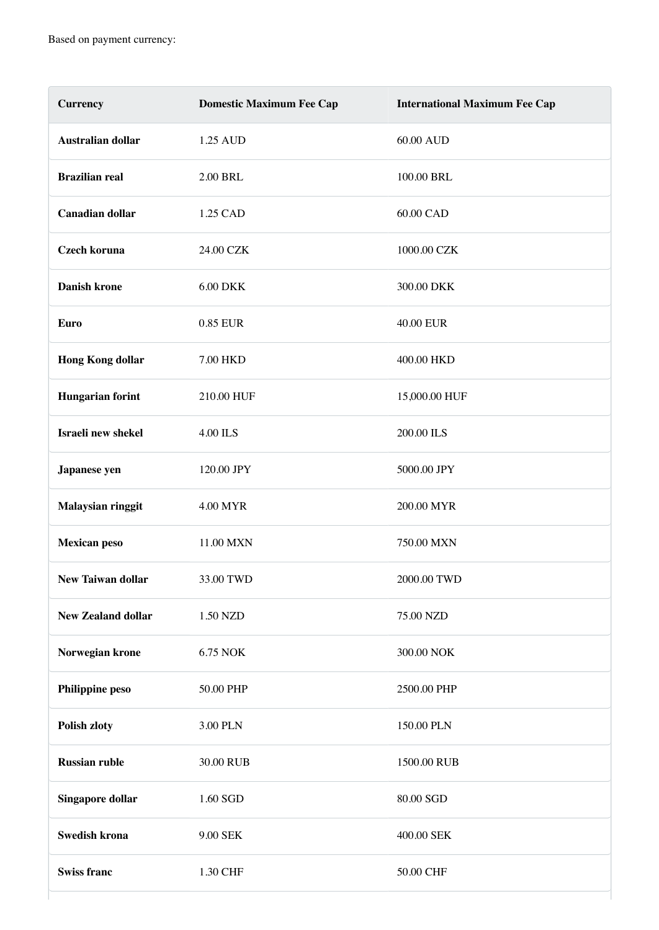| <b>Currency</b>           | <b>Domestic Maximum Fee Cap</b> | <b>International Maximum Fee Cap</b> |
|---------------------------|---------------------------------|--------------------------------------|
| Australian dollar         | 1.25 AUD                        | 60.00 AUD                            |
| <b>Brazilian real</b>     | <b>2.00 BRL</b>                 | 100.00 BRL                           |
| <b>Canadian dollar</b>    | 1.25 CAD                        | 60.00 CAD                            |
| Czech koruna              | 24.00 CZK                       | 1000.00 CZK                          |
| <b>Danish krone</b>       | <b>6.00 DKK</b>                 | 300.00 DKK                           |
| <b>Euro</b>               | 0.85 EUR                        | 40.00 EUR                            |
| <b>Hong Kong dollar</b>   | 7.00 HKD                        | 400.00 HKD                           |
| <b>Hungarian forint</b>   | 210.00 HUF                      | 15,000.00 HUF                        |
| Israeli new shekel        | <b>4.00 ILS</b>                 | 200.00 ILS                           |
| Japanese yen              | 120.00 JPY                      | 5000.00 JPY                          |
| Malaysian ringgit         | 4.00 MYR                        | 200.00 MYR                           |
| <b>Mexican peso</b>       | 11.00 MXN                       | 750.00 MXN                           |
| <b>New Taiwan dollar</b>  | 33.00 TWD                       | 2000.00 TWD                          |
| <b>New Zealand dollar</b> | 1.50 NZD                        | 75.00 NZD                            |
| Norwegian krone           | 6.75 NOK                        | 300.00 NOK                           |
| Philippine peso           | 50.00 PHP                       | 2500.00 PHP                          |
| Polish zloty              | 3.00 PLN                        | 150.00 PLN                           |
| <b>Russian ruble</b>      | 30.00 RUB                       | 1500.00 RUB                          |
| Singapore dollar          | 1.60 SGD                        | 80.00 SGD                            |
| <b>Swedish krona</b>      | 9.00 SEK                        | 400.00 SEK                           |
| <b>Swiss franc</b>        | 1.30 CHF                        | 50.00 CHF                            |
|                           |                                 |                                      |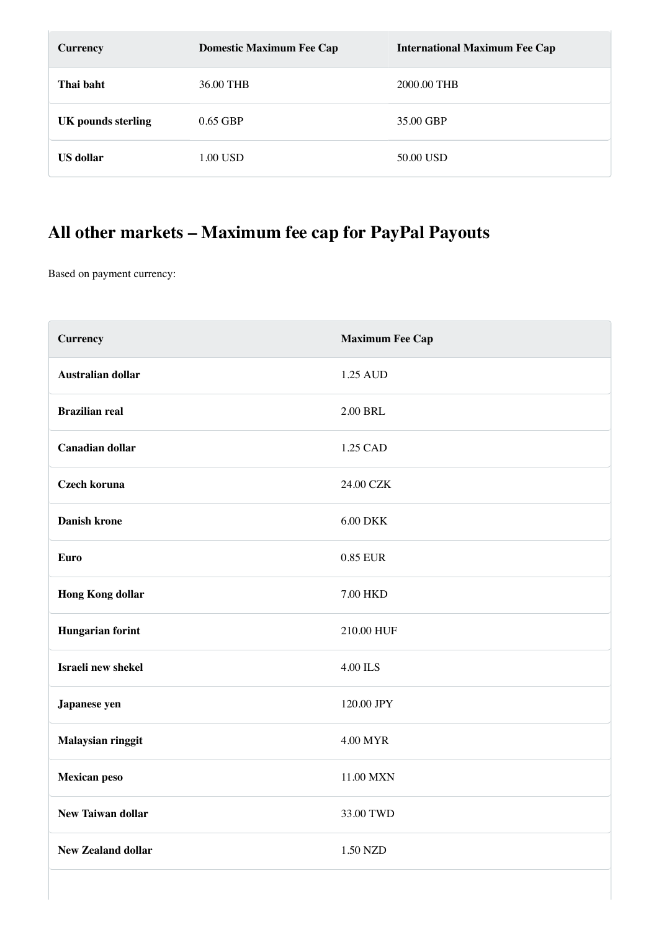| <b>Currency</b>           | <b>Domestic Maximum Fee Cap</b> | <b>International Maximum Fee Cap</b> |
|---------------------------|---------------------------------|--------------------------------------|
| Thai baht                 | 36.00 THB                       | 2000.00 THB                          |
| <b>UK</b> pounds sterling | $0.65$ GBP                      | 35.00 GBP                            |
| <b>US dollar</b>          | 1.00 USD                        | 50.00 USD                            |

### **All other markets – Maximum fee cap for PayPal Payouts**

Based on payment currency:

| <b>Currency</b>           | <b>Maximum Fee Cap</b> |
|---------------------------|------------------------|
| <b>Australian dollar</b>  | 1.25 AUD               |
| <b>Brazilian real</b>     | 2.00 BRL               |
| <b>Canadian dollar</b>    | 1.25 CAD               |
| Czech koruna              | 24.00 CZK              |
| <b>Danish krone</b>       | <b>6.00 DKK</b>        |
| <b>Euro</b>               | 0.85 EUR               |
| <b>Hong Kong dollar</b>   | 7.00 HKD               |
| <b>Hungarian forint</b>   | 210.00 HUF             |
| Israeli new shekel        | 4.00 ILS               |
| Japanese yen              | 120.00 JPY             |
| Malaysian ringgit         | 4.00 MYR               |
| <b>Mexican peso</b>       | 11.00 MXN              |
| <b>New Taiwan dollar</b>  | 33.00 TWD              |
| <b>New Zealand dollar</b> | 1.50 NZD               |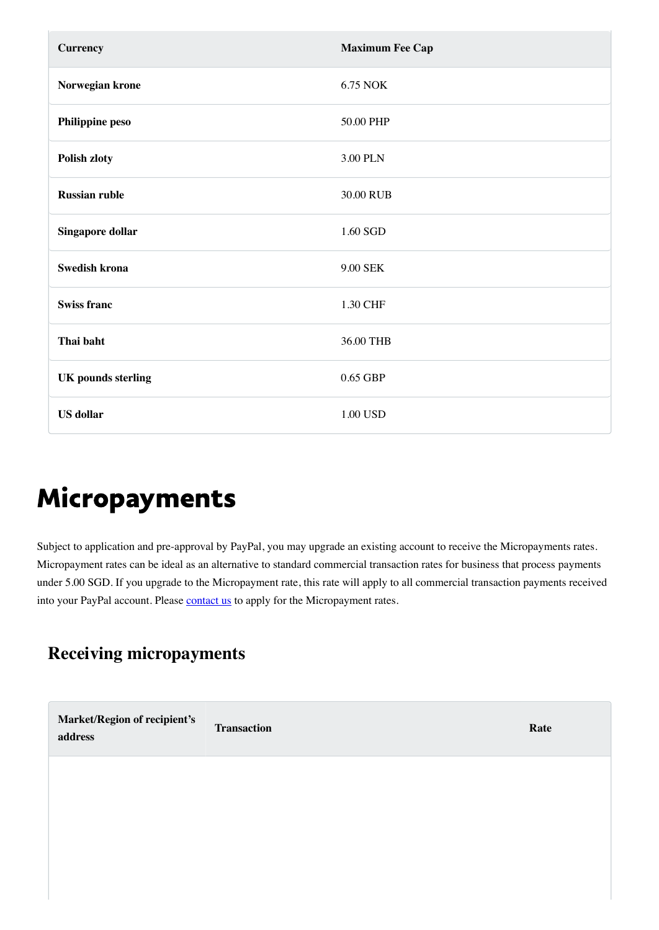| <b>Currency</b>           | <b>Maximum Fee Cap</b> |
|---------------------------|------------------------|
| Norwegian krone           | 6.75 NOK               |
| Philippine peso           | 50.00 PHP              |
| Polish zloty              | 3.00 PLN               |
| <b>Russian ruble</b>      | 30.00 RUB              |
| Singapore dollar          | 1.60 SGD               |
| <b>Swedish krona</b>      | 9.00 SEK               |
| <b>Swiss franc</b>        | 1.30 CHF               |
| Thai baht                 | 36.00 THB              |
| <b>UK</b> pounds sterling | 0.65 GBP               |
| <b>US</b> dollar          | 1.00 USD               |

## Micropayments

Subject to application and pre-approval by PayPal, you may upgrade an existing account to receive the Micropayments rates. Micropayment rates can be ideal as an alternative to standard commercial transaction rates for business that process payments under 5.00 SGD. If you upgrade to the Micropayment rate, this rate will apply to all commercial transaction payments received into your PayPal account. Please [contact us](https://www.paypal.com/eg/smarthelp/home) to apply for the Micropayment rates.

#### **Receiving micropayments**

| <b>Market/Region of recipient's</b><br>address | <b>Transaction</b> | Rate |
|------------------------------------------------|--------------------|------|
|                                                |                    |      |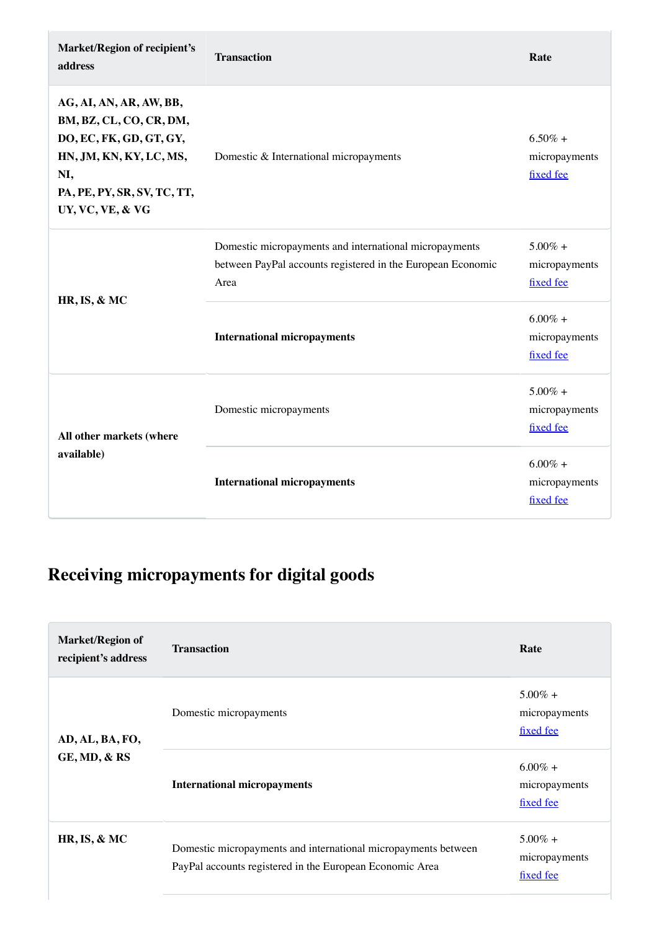| <b>Market/Region of recipient's</b><br>address                                                                                                                     | <b>Transaction</b>                                                                                                            | Rate                                     |
|--------------------------------------------------------------------------------------------------------------------------------------------------------------------|-------------------------------------------------------------------------------------------------------------------------------|------------------------------------------|
| AG, AI, AN, AR, AW, BB,<br>BM, BZ, CL, CO, CR, DM,<br>DO, EC, FK, GD, GT, GY,<br>HN, JM, KN, KY, LC, MS,<br>NI,<br>PA, PE, PY, SR, SV, TC, TT,<br>UY, VC, VE, & VG | Domestic & International micropayments                                                                                        | $6.50\% +$<br>micropayments<br>fixed fee |
| HR, IS, & MC                                                                                                                                                       | Domestic micropayments and international micropayments<br>between PayPal accounts registered in the European Economic<br>Area | $5.00\% +$<br>micropayments<br>fixed fee |
|                                                                                                                                                                    | <b>International micropayments</b>                                                                                            | $6.00\%$ +<br>micropayments<br>fixed fee |
| All other markets (where<br>available)                                                                                                                             | Domestic micropayments                                                                                                        | $5.00\% +$<br>micropayments<br>fixed fee |
|                                                                                                                                                                    | <b>International micropayments</b>                                                                                            | $6.00\% +$<br>micropayments<br>fixed fee |

### **Receiving micropayments for digital goods**

| <b>Market/Region of</b><br>recipient's address | <b>Transaction</b>                                                                                                         | Rate                                     |
|------------------------------------------------|----------------------------------------------------------------------------------------------------------------------------|------------------------------------------|
| AD, AL, BA, FO,                                | Domestic micropayments                                                                                                     | $5.00\% +$<br>micropayments<br>fixed fee |
| GE, MD, & RS                                   | <b>International micropayments</b>                                                                                         | $6.00\% +$<br>micropayments<br>fixed fee |
| HR, IS, & MC                                   | Domestic micropayments and international micropayments between<br>PayPal accounts registered in the European Economic Area | $5.00\% +$<br>micropayments<br>fixed fee |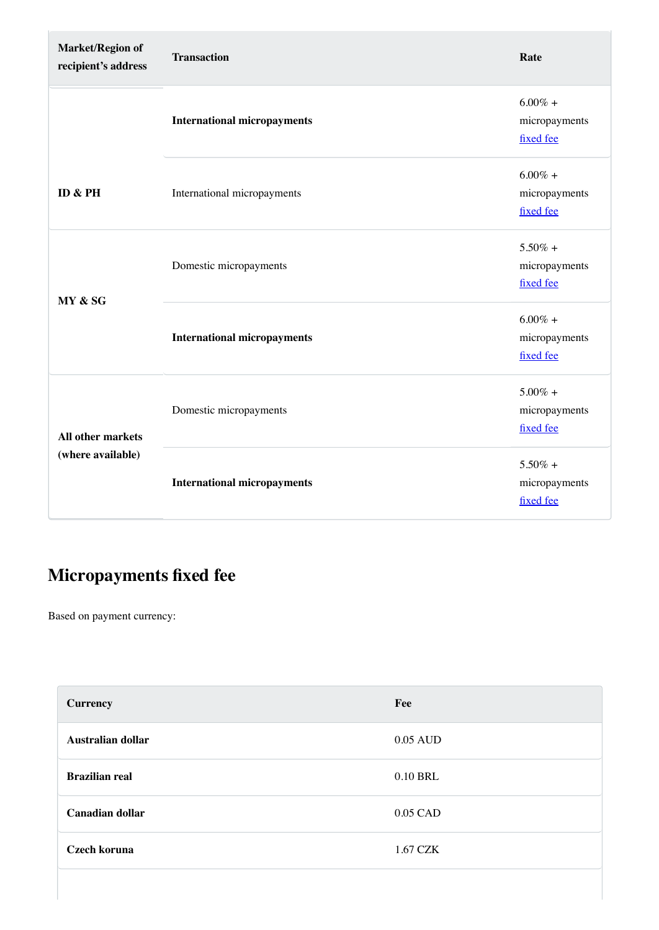| <b>Market/Region of</b><br>recipient's address | <b>Transaction</b>                 | Rate                                     |
|------------------------------------------------|------------------------------------|------------------------------------------|
|                                                | <b>International micropayments</b> | $6.00\%$ +<br>micropayments<br>fixed fee |
| ID & PH                                        | International micropayments        | $6.00\%$ +<br>micropayments<br>fixed fee |
| MY & SG                                        | Domestic micropayments             | $5.50\% +$<br>micropayments<br>fixed fee |
|                                                | <b>International micropayments</b> | $6.00\%$ +<br>micropayments<br>fixed fee |
| All other markets                              | Domestic micropayments             | $5.00\%$ +<br>micropayments<br>fixed fee |
| (where available)                              | <b>International micropayments</b> | $5.50\% +$<br>micropayments<br>fixed fee |

### <span id="page-13-0"></span>**Micropayments fixed fee**

Based on payment currency:

| <b>Currency</b>        | Fee      |
|------------------------|----------|
| Australian dollar      | 0.05 AUD |
| <b>Brazilian real</b>  | 0.10 BRL |
| <b>Canadian dollar</b> | 0.05 CAD |
| <b>Czech koruna</b>    | 1.67 CZK |
|                        |          |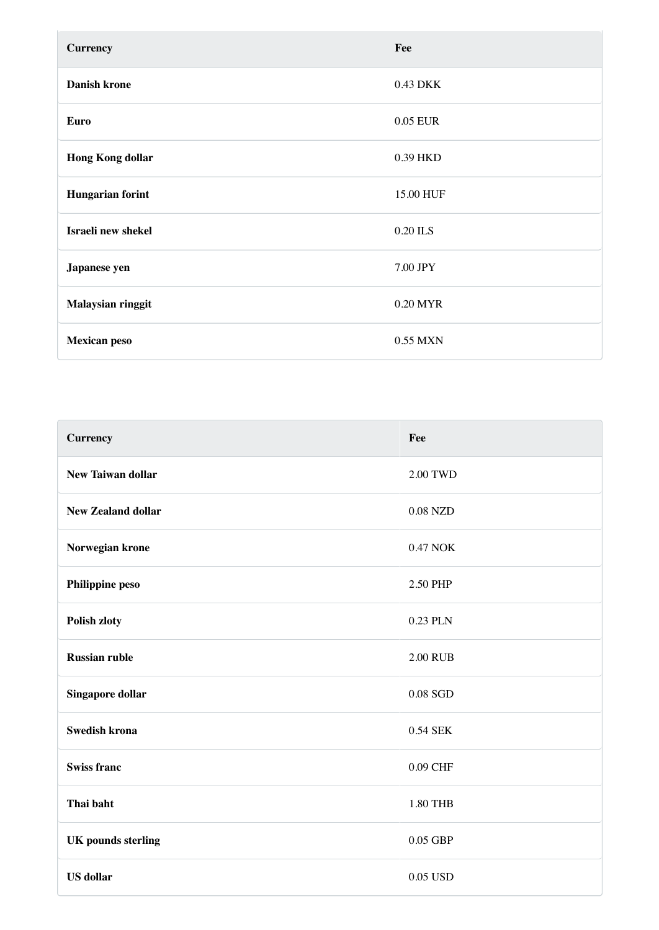| <b>Currency</b>         | Fee       |
|-------------------------|-----------|
| <b>Danish krone</b>     | 0.43 DKK  |
| <b>Euro</b>             | 0.05 EUR  |
| <b>Hong Kong dollar</b> | 0.39 HKD  |
| <b>Hungarian forint</b> | 15.00 HUF |
| Israeli new shekel      | 0.20 ILS  |
| Japanese yen            | 7.00 JPY  |
| Malaysian ringgit       | 0.20 MYR  |
| <b>Mexican peso</b>     | 0.55 MXN  |

| <b>Currency</b>           | Fee             |
|---------------------------|-----------------|
| <b>New Taiwan dollar</b>  | 2.00 TWD        |
| <b>New Zealand dollar</b> | 0.08 NZD        |
| Norwegian krone           | 0.47 NOK        |
| Philippine peso           | 2.50 PHP        |
| Polish zloty              | 0.23 PLN        |
| <b>Russian ruble</b>      | <b>2.00 RUB</b> |
| Singapore dollar          | 0.08 SGD        |
| <b>Swedish krona</b>      | 0.54 SEK        |
| <b>Swiss franc</b>        | 0.09 CHF        |
| Thai baht                 | 1.80 THB        |
| <b>UK</b> pounds sterling | 0.05 GBP        |
| <b>US</b> dollar          | 0.05 USD        |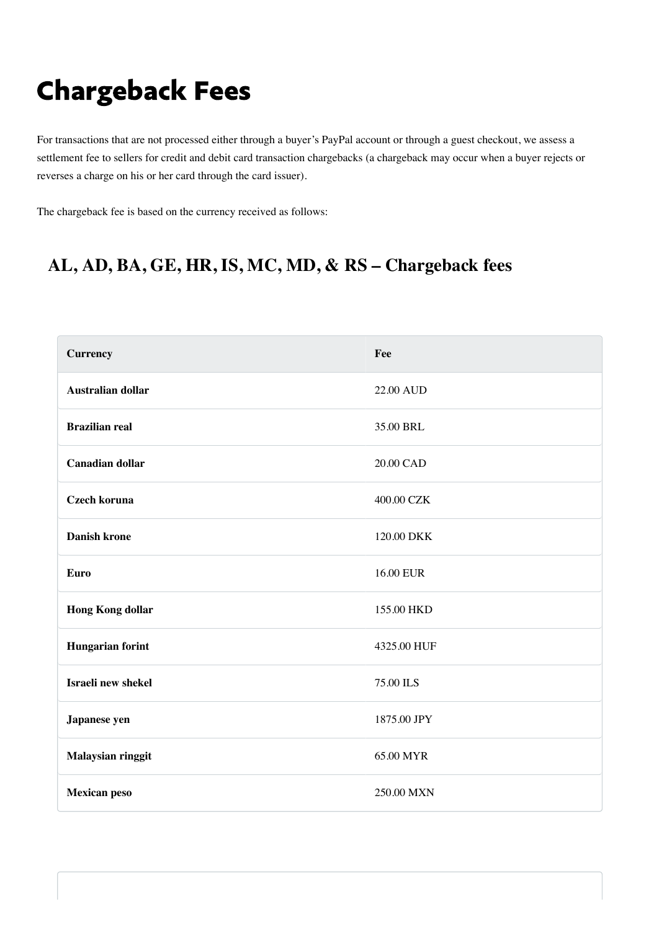## Chargeback Fees

For transactions that are not processed either through a buyer's PayPal account or through a guest checkout, we assess a settlement fee to sellers for credit and debit card transaction chargebacks (a chargeback may occur when a buyer rejects or reverses a charge on his or her card through the card issuer).

The chargeback fee is based on the currency received as follows:

#### **AL, AD, BA, GE, HR, IS, MC, MD, & RS – Chargeback fees**

| <b>Currency</b>          | Fee         |
|--------------------------|-------------|
| <b>Australian dollar</b> | 22.00 AUD   |
| <b>Brazilian real</b>    | 35.00 BRL   |
| <b>Canadian dollar</b>   | 20.00 CAD   |
| Czech koruna             | 400.00 CZK  |
| <b>Danish krone</b>      | 120.00 DKK  |
| Euro                     | 16.00 EUR   |
| <b>Hong Kong dollar</b>  | 155.00 HKD  |
| <b>Hungarian forint</b>  | 4325.00 HUF |
| Israeli new shekel       | 75.00 ILS   |
| Japanese yen             | 1875.00 JPY |
| Malaysian ringgit        | 65.00 MYR   |
| <b>Mexican peso</b>      | 250.00 MXN  |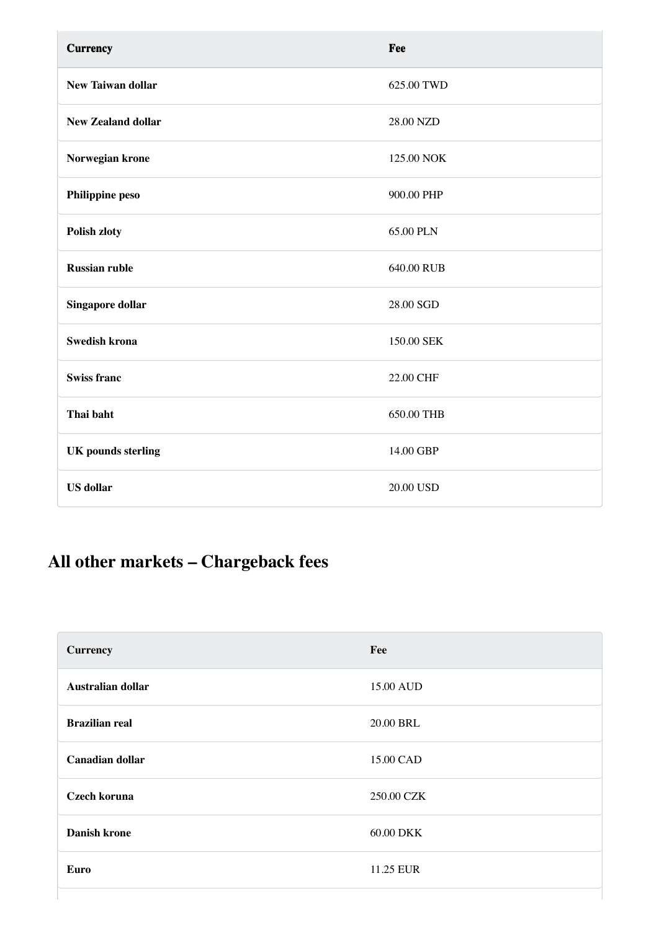| <b>Currency</b>           | Fee        |
|---------------------------|------------|
| <b>New Taiwan dollar</b>  | 625.00 TWD |
| <b>New Zealand dollar</b> | 28.00 NZD  |
| Norwegian krone           | 125.00 NOK |
| <b>Philippine peso</b>    | 900.00 PHP |
| Polish zloty              | 65.00 PLN  |
| <b>Russian ruble</b>      | 640.00 RUB |
| <b>Singapore dollar</b>   | 28.00 SGD  |
| <b>Swedish krona</b>      | 150.00 SEK |
| <b>Swiss franc</b>        | 22.00 CHF  |
| Thai baht                 | 650.00 THB |
| <b>UK</b> pounds sterling | 14.00 GBP  |
| <b>US</b> dollar          | 20.00 USD  |

### **All other markets – Chargeback fees**

| <b>Currency</b>        | Fee        |
|------------------------|------------|
| Australian dollar      | 15.00 AUD  |
| <b>Brazilian real</b>  | 20.00 BRL  |
| <b>Canadian dollar</b> | 15.00 CAD  |
| Czech koruna           | 250.00 CZK |
| <b>Danish krone</b>    | 60.00 DKK  |
| Euro                   | 11.25 EUR  |
|                        |            |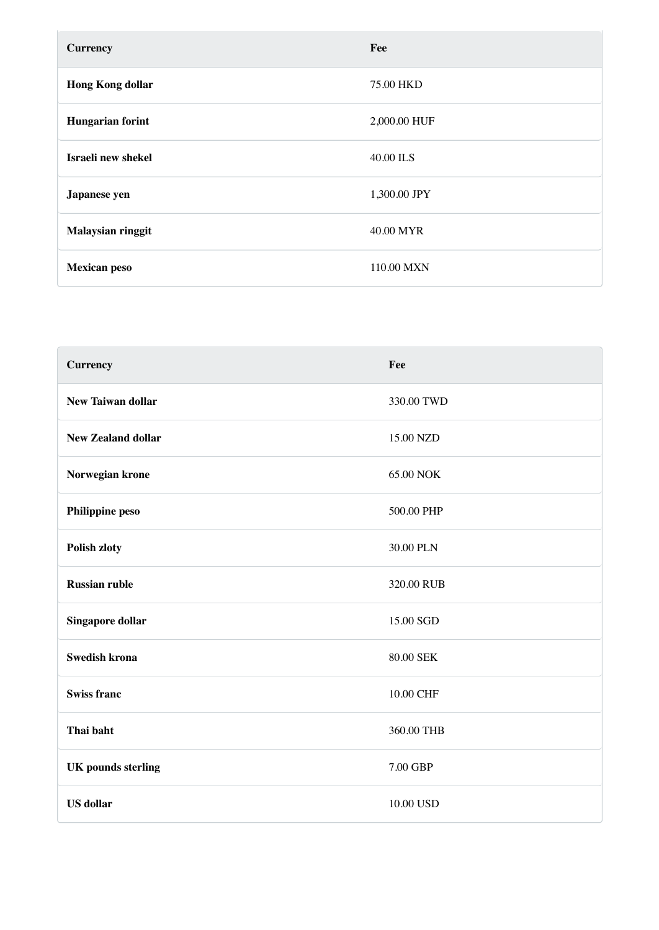| <b>Currency</b>         | Fee          |
|-------------------------|--------------|
| <b>Hong Kong dollar</b> | 75.00 HKD    |
| <b>Hungarian forint</b> | 2,000.00 HUF |
| Israeli new shekel      | 40.00 ILS    |
| Japanese yen            | 1,300.00 JPY |
| Malaysian ringgit       | 40.00 MYR    |
| <b>Mexican peso</b>     | 110.00 MXN   |

| <b>Currency</b>           | Fee        |
|---------------------------|------------|
| <b>New Taiwan dollar</b>  | 330.00 TWD |
| <b>New Zealand dollar</b> | 15.00 NZD  |
| Norwegian krone           | 65.00 NOK  |
| Philippine peso           | 500.00 PHP |
| Polish zloty              | 30.00 PLN  |
| <b>Russian ruble</b>      | 320.00 RUB |
| Singapore dollar          | 15.00 SGD  |
| <b>Swedish krona</b>      | 80.00 SEK  |
| <b>Swiss franc</b>        | 10.00 CHF  |
| Thai baht                 | 360.00 THB |
| <b>UK</b> pounds sterling | 7.00 GBP   |
| <b>US</b> dollar          | 10.00 USD  |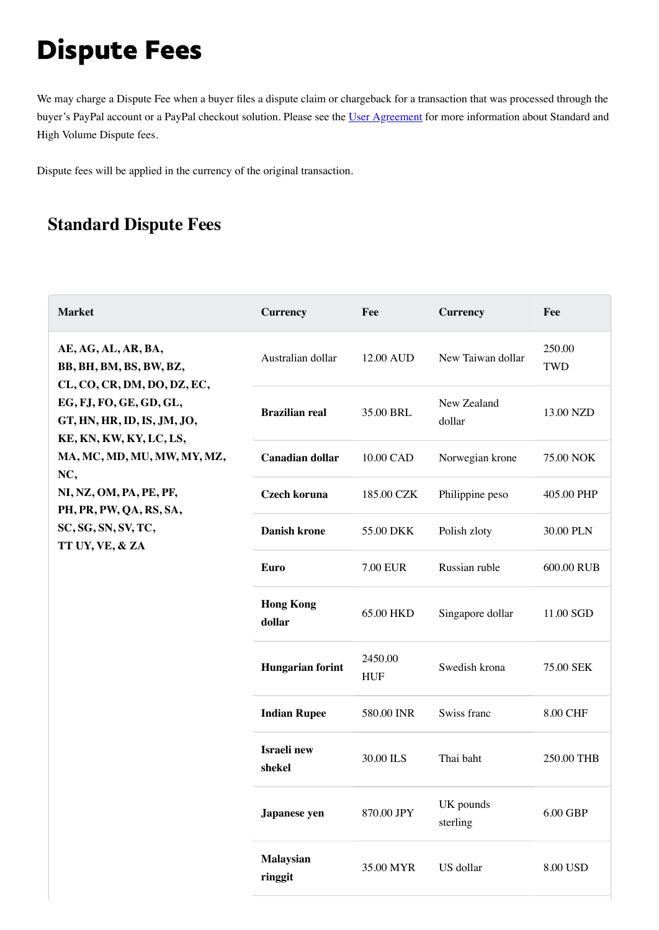## <span id="page-18-0"></span>Dispute Fees

We may charge a Dispute Fee when a buyer files a dispute claim or chargeback for a transaction that was processed through the buyer's PayPal account or a PayPal checkout solution. Please see the [User Agreement](https://www.paypal.com/eg/webapps/mpp/ua/useragreement-full) for more information about Standard and High Volume Dispute fees.

Dispute fees will be applied in the currency of the original transaction.

#### **Standard Dispute Fees**

| <b>Market</b>                                                                                                    | <b>Currency</b>            | Fee                   | <b>Currency</b>       | Fee                  |
|------------------------------------------------------------------------------------------------------------------|----------------------------|-----------------------|-----------------------|----------------------|
| AE, AG, AL, AR, BA,<br>BB, BH, BM, BS, BW, BZ,                                                                   | Australian dollar          | 12.00 AUD             | New Taiwan dollar     | 250.00<br><b>TWD</b> |
| CL, CO, CR, DM, DO, DZ, EC,<br>EG, FJ, FO, GE, GD, GL,<br>GT, HN, HR, ID, IS, JM, JO,<br>KE, KN, KW, KY, LC, LS, | <b>Brazilian real</b>      | 35.00 BRL             | New Zealand<br>dollar | 13.00 NZD            |
| MA, MC, MD, MU, MW, MY, MZ,<br>NC,                                                                               | <b>Canadian dollar</b>     | 10.00 CAD             | Norwegian krone       | 75.00 NOK            |
| NI, NZ, OM, PA, PE, PF,<br>PH, PR, PW, QA, RS, SA,                                                               | Czech koruna               | 185.00 CZK            | Philippine peso       | 405.00 PHP           |
| SC, SG, SN, SV, TC,<br>TT UY, VE, & ZA                                                                           | <b>Danish krone</b>        | 55.00 DKK             | Polish zloty          | 30.00 PLN            |
|                                                                                                                  | <b>Euro</b>                | <b>7.00 EUR</b>       | Russian ruble         | 600.00 RUB           |
|                                                                                                                  | <b>Hong Kong</b><br>dollar | 65.00 HKD             | Singapore dollar      | 11.00 SGD            |
|                                                                                                                  | <b>Hungarian forint</b>    | 2450.00<br><b>HUF</b> | Swedish krona         | 75.00 SEK            |
|                                                                                                                  | <b>Indian Rupee</b>        | 580.00 INR            | Swiss franc           | 8.00 CHF             |
|                                                                                                                  | Israeli new<br>shekel      | 30.00 ILS             | Thai baht             | 250.00 THB           |
|                                                                                                                  | Japanese yen               | 870.00 JPY            | UK pounds<br>sterling | 6.00 GBP             |
|                                                                                                                  | Malaysian<br>ringgit       | 35.00 MYR             | US dollar             | <b>8.00 USD</b>      |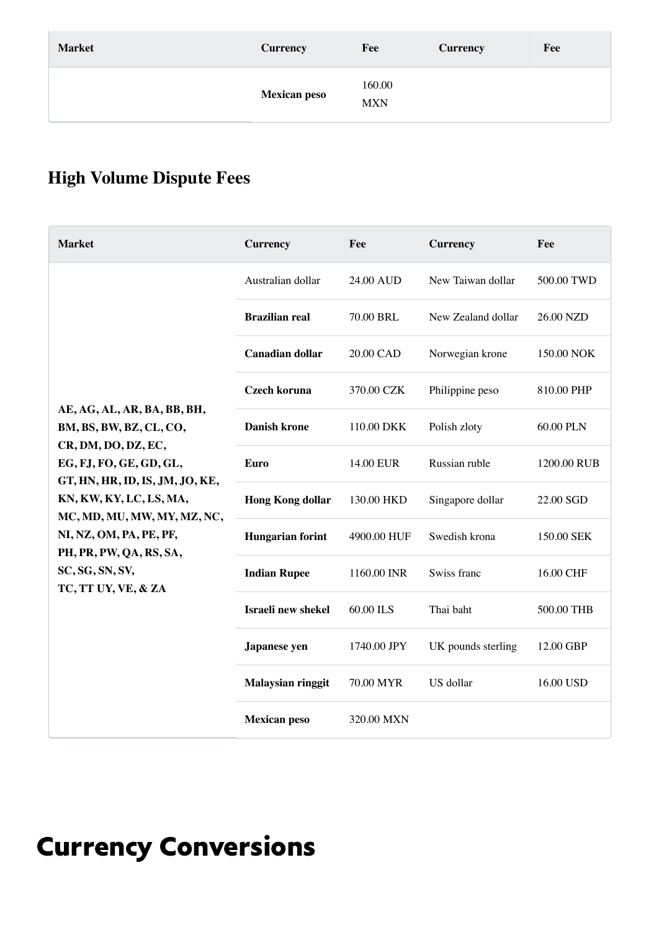| <b>Market</b> | <b>Currency</b>     | Fee                  | <b>Currency</b> | Fee |
|---------------|---------------------|----------------------|-----------------|-----|
|               | <b>Mexican peso</b> | 160.00<br><b>MXN</b> |                 |     |

### **High Volume Dispute Fees**

| <b>Market</b>                                                                                                                                                                                                                                                                                         | <b>Currency</b>          | Fee         | <b>Currency</b>    | Fee         |
|-------------------------------------------------------------------------------------------------------------------------------------------------------------------------------------------------------------------------------------------------------------------------------------------------------|--------------------------|-------------|--------------------|-------------|
|                                                                                                                                                                                                                                                                                                       | Australian dollar        | 24.00 AUD   | New Taiwan dollar  | 500.00 TWD  |
|                                                                                                                                                                                                                                                                                                       | <b>Brazilian real</b>    | 70.00 BRL   | New Zealand dollar | 26.00 NZD   |
|                                                                                                                                                                                                                                                                                                       | <b>Canadian dollar</b>   | 20.00 CAD   | Norwegian krone    | 150.00 NOK  |
|                                                                                                                                                                                                                                                                                                       | <b>Czech koruna</b>      | 370.00 CZK  | Philippine peso    | 810.00 PHP  |
| AE, AG, AL, AR, BA, BB, BH,<br>BM, BS, BW, BZ, CL, CO,<br>CR, DM, DO, DZ, EC,<br>EG, FJ, FO, GE, GD, GL,<br>GT, HN, HR, ID, IS, JM, JO, KE,<br>KN, KW, KY, LC, LS, MA,<br>MC, MD, MU, MW, MY, MZ, NC,<br>NI, NZ, OM, PA, PE, PF,<br>PH, PR, PW, QA, RS, SA,<br>SC, SG, SN, SV,<br>TC, TT UY, VE, & ZA | <b>Danish krone</b>      | 110.00 DKK  | Polish zloty       | 60.00 PLN   |
|                                                                                                                                                                                                                                                                                                       | <b>Euro</b>              | 14.00 EUR   | Russian ruble      | 1200.00 RUB |
|                                                                                                                                                                                                                                                                                                       | <b>Hong Kong dollar</b>  | 130.00 HKD  | Singapore dollar   | 22.00 SGD   |
|                                                                                                                                                                                                                                                                                                       | <b>Hungarian forint</b>  | 4900.00 HUF | Swedish krona      | 150.00 SEK  |
|                                                                                                                                                                                                                                                                                                       | <b>Indian Rupee</b>      | 1160.00 INR | Swiss franc        | 16.00 CHF   |
|                                                                                                                                                                                                                                                                                                       | Israeli new shekel       | 60.00 ILS   | Thai baht          | 500.00 THB  |
|                                                                                                                                                                                                                                                                                                       | Japanese yen             | 1740.00 JPY | UK pounds sterling | 12.00 GBP   |
|                                                                                                                                                                                                                                                                                                       | <b>Malaysian ringgit</b> | 70.00 MYR   | US dollar          | 16.00 USD   |
|                                                                                                                                                                                                                                                                                                       | <b>Mexican</b> peso      | 320.00 MXN  |                    |             |

# <span id="page-19-0"></span>Currency Conversions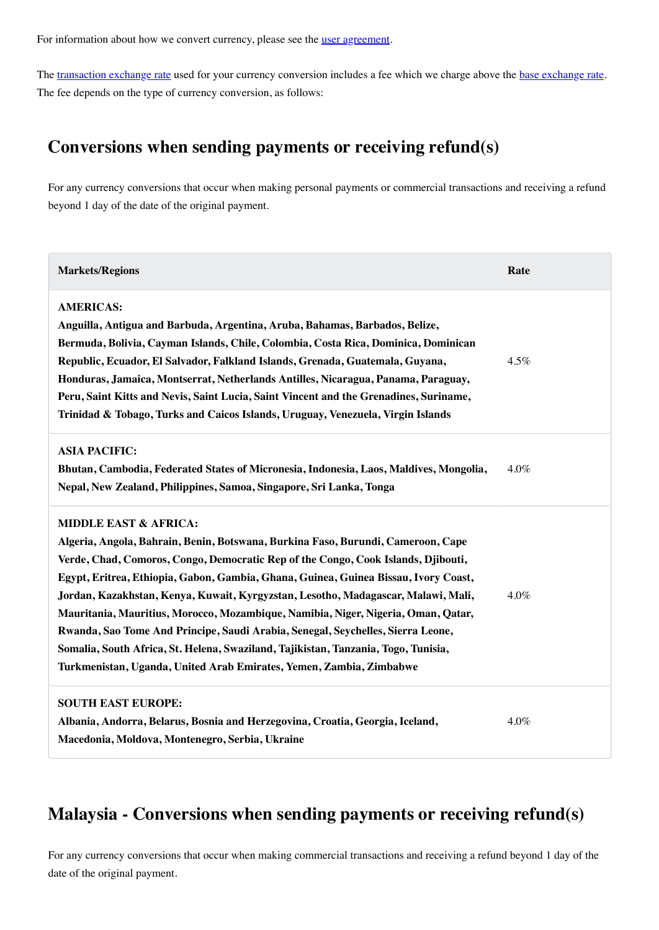The [transaction exchange rate](https://www.paypal.com/eg/webapps/mpp/ua/useragreement-full#currency-conversion1) used for your currency conversion includes a fee which we charge above the [base exchange rate.](https://www.paypal.com/eg/webapps/mpp/ua/useragreement-full#currency-conversion1) The fee depends on the type of currency conversion, as follows:

#### **Conversions when sending payments or receiving refund(s)**

For any currency conversions that occur when making personal payments or commercial transactions and receiving a refund beyond 1 day of the date of the original payment.

| <b>Markets/Regions</b>                                                                                                                                                                                                                                                                                                                                                                                                                                                                                                                                                                                                                                                                                                     | Rate |
|----------------------------------------------------------------------------------------------------------------------------------------------------------------------------------------------------------------------------------------------------------------------------------------------------------------------------------------------------------------------------------------------------------------------------------------------------------------------------------------------------------------------------------------------------------------------------------------------------------------------------------------------------------------------------------------------------------------------------|------|
| <b>AMERICAS:</b><br>Anguilla, Antigua and Barbuda, Argentina, Aruba, Bahamas, Barbados, Belize,<br>Bermuda, Bolivia, Cayman Islands, Chile, Colombia, Costa Rica, Dominica, Dominican<br>Republic, Ecuador, El Salvador, Falkland Islands, Grenada, Guatemala, Guyana,<br>Honduras, Jamaica, Montserrat, Netherlands Antilles, Nicaragua, Panama, Paraguay,<br>Peru, Saint Kitts and Nevis, Saint Lucia, Saint Vincent and the Grenadines, Suriname,<br>Trinidad & Tobago, Turks and Caicos Islands, Uruguay, Venezuela, Virgin Islands                                                                                                                                                                                    | 4.5% |
| <b>ASIA PACIFIC:</b><br>Bhutan, Cambodia, Federated States of Micronesia, Indonesia, Laos, Maldives, Mongolia,<br>Nepal, New Zealand, Philippines, Samoa, Singapore, Sri Lanka, Tonga                                                                                                                                                                                                                                                                                                                                                                                                                                                                                                                                      | 4.0% |
| <b>MIDDLE EAST &amp; AFRICA:</b><br>Algeria, Angola, Bahrain, Benin, Botswana, Burkina Faso, Burundi, Cameroon, Cape<br>Verde, Chad, Comoros, Congo, Democratic Rep of the Congo, Cook Islands, Djibouti,<br>Egypt, Eritrea, Ethiopia, Gabon, Gambia, Ghana, Guinea, Guinea Bissau, Ivory Coast,<br>Jordan, Kazakhstan, Kenya, Kuwait, Kyrgyzstan, Lesotho, Madagascar, Malawi, Mali,<br>Mauritania, Mauritius, Morocco, Mozambique, Namibia, Niger, Nigeria, Oman, Qatar,<br>Rwanda, Sao Tome And Principe, Saudi Arabia, Senegal, Seychelles, Sierra Leone,<br>Somalia, South Africa, St. Helena, Swaziland, Tajikistan, Tanzania, Togo, Tunisia,<br>Turkmenistan, Uganda, United Arab Emirates, Yemen, Zambia, Zimbabwe | 4.0% |
| <b>SOUTH EAST EUROPE:</b><br>Albania, Andorra, Belarus, Bosnia and Herzegovina, Croatia, Georgia, Iceland,<br>Macedonia, Moldova, Montenegro, Serbia, Ukraine                                                                                                                                                                                                                                                                                                                                                                                                                                                                                                                                                              | 4.0% |

#### **Malaysia - Conversions when sending payments or receiving refund(s)**

For any currency conversions that occur when making commercial transactions and receiving a refund beyond 1 day of the date of the original payment.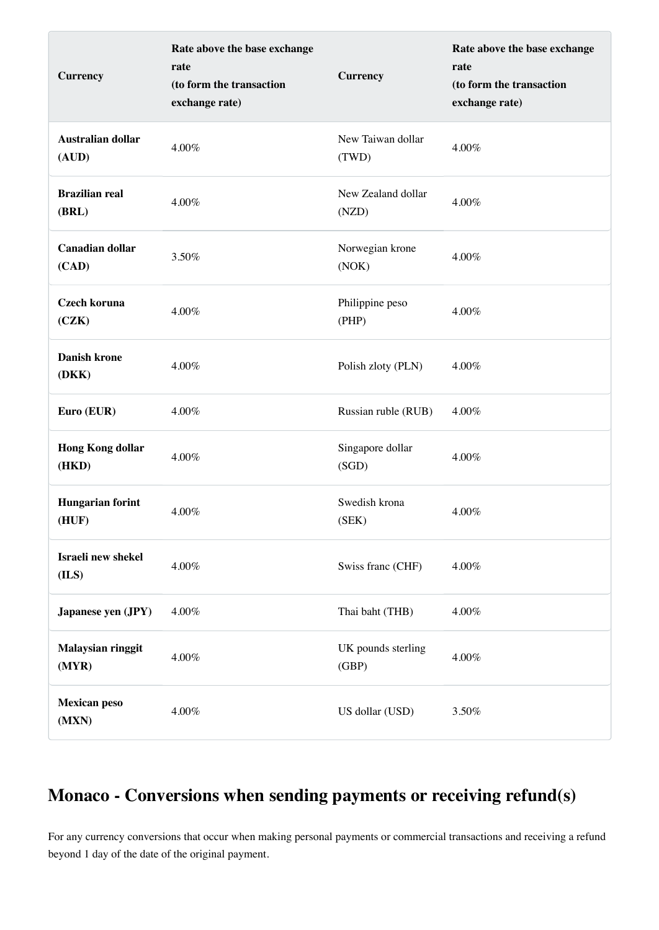| <b>Currency</b>                   | Rate above the base exchange<br>rate<br>(to form the transaction<br>exchange rate) | <b>Currency</b>             | Rate above the base exchange<br>rate<br>(to form the transaction<br>exchange rate) |
|-----------------------------------|------------------------------------------------------------------------------------|-----------------------------|------------------------------------------------------------------------------------|
| Australian dollar<br>(AUD)        | 4.00%                                                                              | New Taiwan dollar<br>(TWD)  | 4.00%                                                                              |
| <b>Brazilian real</b><br>(BRL)    | 4.00%                                                                              | New Zealand dollar<br>(NZD) | 4.00%                                                                              |
| <b>Canadian dollar</b><br>(CAD)   | 3.50%                                                                              | Norwegian krone<br>(NOK)    | 4.00%                                                                              |
| Czech koruna<br>(CZK)             | 4.00%                                                                              | Philippine peso<br>(PHP)    | 4.00%                                                                              |
| <b>Danish krone</b><br>(DKK)      | 4.00%                                                                              | Polish zloty (PLN)          | 4.00%                                                                              |
| Euro (EUR)                        | 4.00%                                                                              | Russian ruble (RUB)         | 4.00%                                                                              |
| <b>Hong Kong dollar</b><br>(HKD)  | 4.00%                                                                              | Singapore dollar<br>(SGD)   | 4.00%                                                                              |
| <b>Hungarian forint</b><br>(HUF)  | 4.00%                                                                              | Swedish krona<br>(SEK)      | 4.00%                                                                              |
| Israeli new shekel<br>(ILS)       | $4.00\%$                                                                           | Swiss franc (CHF)           | 4.00%                                                                              |
| Japanese yen (JPY)                | $4.00\%$                                                                           | Thai baht (THB)             | $4.00\%$                                                                           |
| <b>Malaysian ringgit</b><br>(MYR) | 4.00%                                                                              | UK pounds sterling<br>(GBP) | 4.00%                                                                              |
| <b>Mexican peso</b><br>(MXN)      | $4.00\%$                                                                           | US dollar (USD)             | 3.50%                                                                              |

#### **Monaco - Conversions when sending payments or receiving refund(s)**

For any currency conversions that occur when making personal payments or commercial transactions and receiving a refund beyond 1 day of the date of the original payment.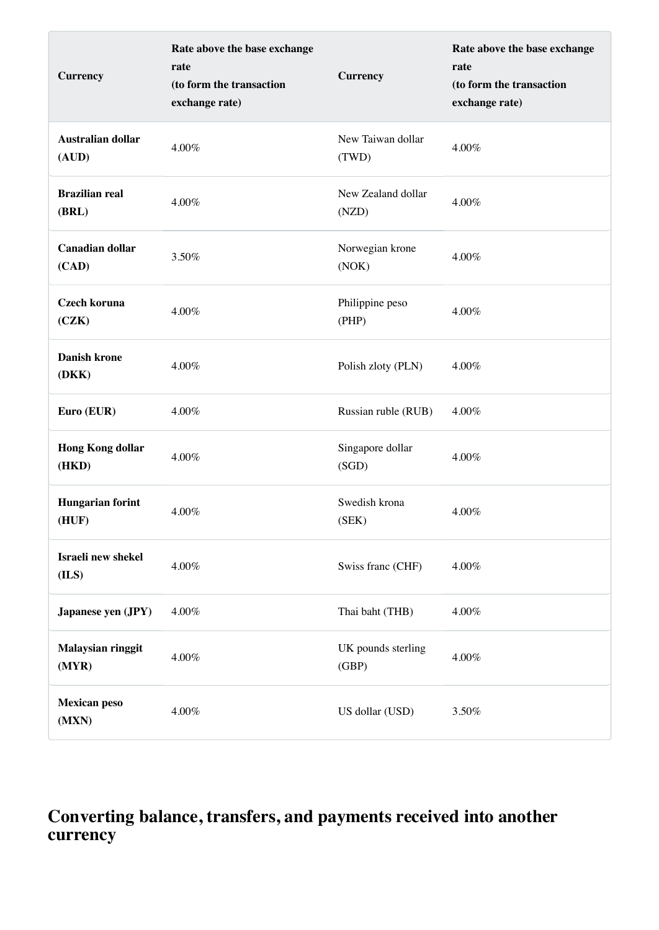| <b>Currency</b>                   | Rate above the base exchange<br>rate<br>(to form the transaction<br>exchange rate) | <b>Currency</b>             | Rate above the base exchange<br>rate<br>(to form the transaction<br>exchange rate) |
|-----------------------------------|------------------------------------------------------------------------------------|-----------------------------|------------------------------------------------------------------------------------|
| Australian dollar<br>(AUD)        | 4.00%                                                                              | New Taiwan dollar<br>(TWD)  | 4.00%                                                                              |
| <b>Brazilian real</b><br>(BRL)    | 4.00%                                                                              | New Zealand dollar<br>(NZD) | 4.00%                                                                              |
| <b>Canadian dollar</b><br>(CAD)   | 3.50%                                                                              | Norwegian krone<br>(NOK)    | 4.00%                                                                              |
| Czech koruna<br>(CZK)             | 4.00%                                                                              | Philippine peso<br>(PHP)    | 4.00%                                                                              |
| <b>Danish krone</b><br>(DKK)      | 4.00%                                                                              | Polish zloty (PLN)          | 4.00%                                                                              |
| Euro (EUR)                        | 4.00%                                                                              | Russian ruble (RUB)         | 4.00%                                                                              |
| <b>Hong Kong dollar</b><br>(HKD)  | 4.00%                                                                              | Singapore dollar<br>(SGD)   | 4.00%                                                                              |
| <b>Hungarian forint</b><br>(HUF)  | 4.00%                                                                              | Swedish krona<br>(SEK)      | 4.00%                                                                              |
| Israeli new shekel<br>(ILS)       | 4.00%                                                                              | Swiss franc (CHF)           | 4.00%                                                                              |
| Japanese yen (JPY)                | $4.00\%$                                                                           | Thai baht (THB)             | $4.00\%$                                                                           |
| <b>Malaysian ringgit</b><br>(MYR) | 4.00%                                                                              | UK pounds sterling<br>(GBP) | 4.00%                                                                              |
| <b>Mexican peso</b><br>(MXN)      | $4.00\%$                                                                           | US dollar (USD)             | 3.50%                                                                              |

#### **Converting balance, transfers, and payments received into another currency**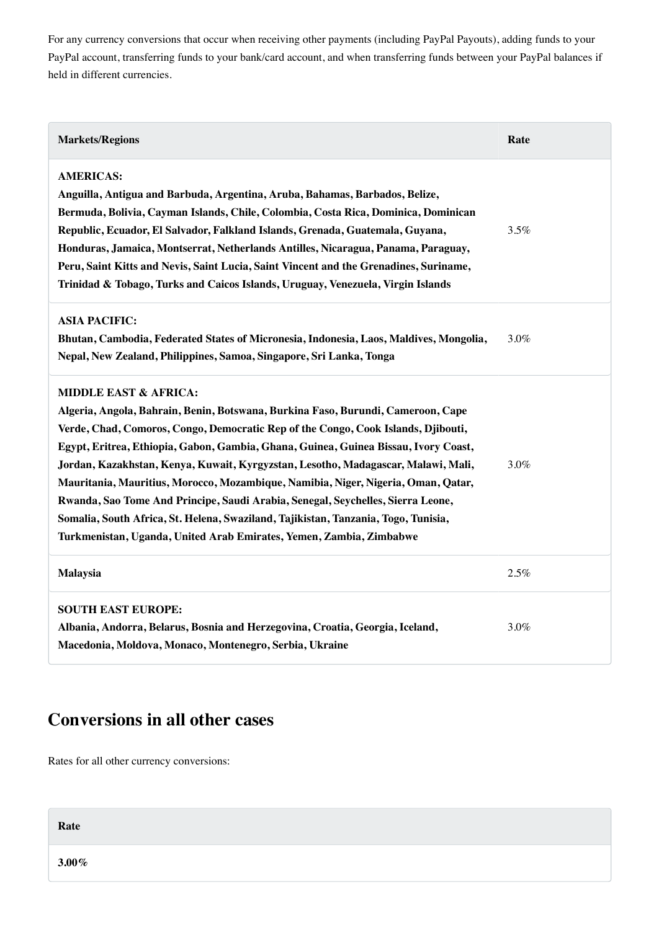For any currency conversions that occur when receiving other payments (including PayPal Payouts), adding funds to your PayPal account, transferring funds to your bank/card account, and when transferring funds between your PayPal balances if held in different currencies.

| <b>Markets/Regions</b>                                                                                                                                                                                                                                                                                                                                                                                                                                                                                                                                                                                                                                                                                                     | Rate |
|----------------------------------------------------------------------------------------------------------------------------------------------------------------------------------------------------------------------------------------------------------------------------------------------------------------------------------------------------------------------------------------------------------------------------------------------------------------------------------------------------------------------------------------------------------------------------------------------------------------------------------------------------------------------------------------------------------------------------|------|
| <b>AMERICAS:</b><br>Anguilla, Antigua and Barbuda, Argentina, Aruba, Bahamas, Barbados, Belize,<br>Bermuda, Bolivia, Cayman Islands, Chile, Colombia, Costa Rica, Dominica, Dominican<br>Republic, Ecuador, El Salvador, Falkland Islands, Grenada, Guatemala, Guyana,<br>Honduras, Jamaica, Montserrat, Netherlands Antilles, Nicaragua, Panama, Paraguay,<br>Peru, Saint Kitts and Nevis, Saint Lucia, Saint Vincent and the Grenadines, Suriname,<br>Trinidad & Tobago, Turks and Caicos Islands, Uruguay, Venezuela, Virgin Islands                                                                                                                                                                                    | 3.5% |
| <b>ASIA PACIFIC:</b><br>Bhutan, Cambodia, Federated States of Micronesia, Indonesia, Laos, Maldives, Mongolia,<br>Nepal, New Zealand, Philippines, Samoa, Singapore, Sri Lanka, Tonga                                                                                                                                                                                                                                                                                                                                                                                                                                                                                                                                      | 3.0% |
| <b>MIDDLE EAST &amp; AFRICA:</b><br>Algeria, Angola, Bahrain, Benin, Botswana, Burkina Faso, Burundi, Cameroon, Cape<br>Verde, Chad, Comoros, Congo, Democratic Rep of the Congo, Cook Islands, Djibouti,<br>Egypt, Eritrea, Ethiopia, Gabon, Gambia, Ghana, Guinea, Guinea Bissau, Ivory Coast,<br>Jordan, Kazakhstan, Kenya, Kuwait, Kyrgyzstan, Lesotho, Madagascar, Malawi, Mali,<br>Mauritania, Mauritius, Morocco, Mozambique, Namibia, Niger, Nigeria, Oman, Qatar,<br>Rwanda, Sao Tome And Principe, Saudi Arabia, Senegal, Seychelles, Sierra Leone,<br>Somalia, South Africa, St. Helena, Swaziland, Tajikistan, Tanzania, Togo, Tunisia,<br>Turkmenistan, Uganda, United Arab Emirates, Yemen, Zambia, Zimbabwe | 3.0% |
| Malaysia                                                                                                                                                                                                                                                                                                                                                                                                                                                                                                                                                                                                                                                                                                                   | 2.5% |
| <b>SOUTH EAST EUROPE:</b><br>Albania, Andorra, Belarus, Bosnia and Herzegovina, Croatia, Georgia, Iceland,<br>Macedonia, Moldova, Monaco, Montenegro, Serbia, Ukraine                                                                                                                                                                                                                                                                                                                                                                                                                                                                                                                                                      | 3.0% |

#### **Conversions in all other cases**

Rates for all other currency conversions:

| Rate     |  |
|----------|--|
| $3.00\%$ |  |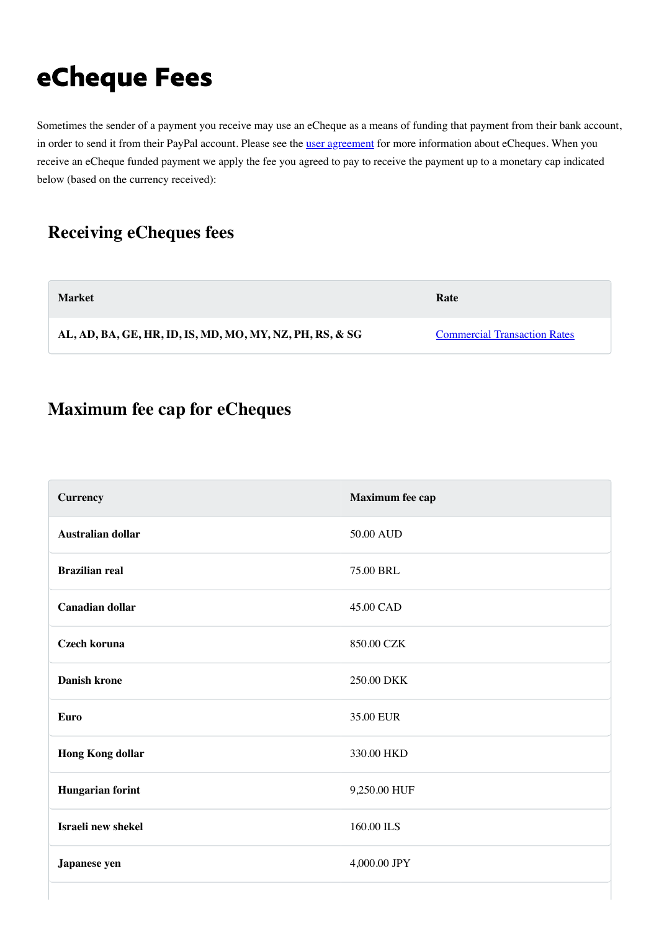## eCheque Fees

Sometimes the sender of a payment you receive may use an eCheque as a means of funding that payment from their bank account, in order to send it from their PayPal account. Please see the **user agreement** for more information about eCheques. When you receive an eCheque funded payment we apply the fee you agreed to pay to receive the payment up to a monetary cap indicated below (based on the currency received):

#### **Receiving eCheques fees**

| <b>Market</b>                                            | Rate                                |
|----------------------------------------------------------|-------------------------------------|
| AL, AD, BA, GE, HR, ID, IS, MD, MO, MY, NZ, PH, RS, & SG | <b>Commercial Transaction Rates</b> |

#### **Maximum fee cap for eCheques**

| <b>Currency</b>         | Maximum fee cap |
|-------------------------|-----------------|
| Australian dollar       | 50.00 AUD       |
| <b>Brazilian real</b>   | 75.00 BRL       |
| <b>Canadian dollar</b>  | 45.00 CAD       |
| Czech koruna            | 850.00 CZK      |
| <b>Danish krone</b>     | 250.00 DKK      |
| Euro                    | 35.00 EUR       |
| <b>Hong Kong dollar</b> | 330.00 HKD      |
| <b>Hungarian forint</b> | 9,250.00 HUF    |
| Israeli new shekel      | 160.00 ILS      |
| Japanese yen            | 4,000.00 JPY    |
|                         |                 |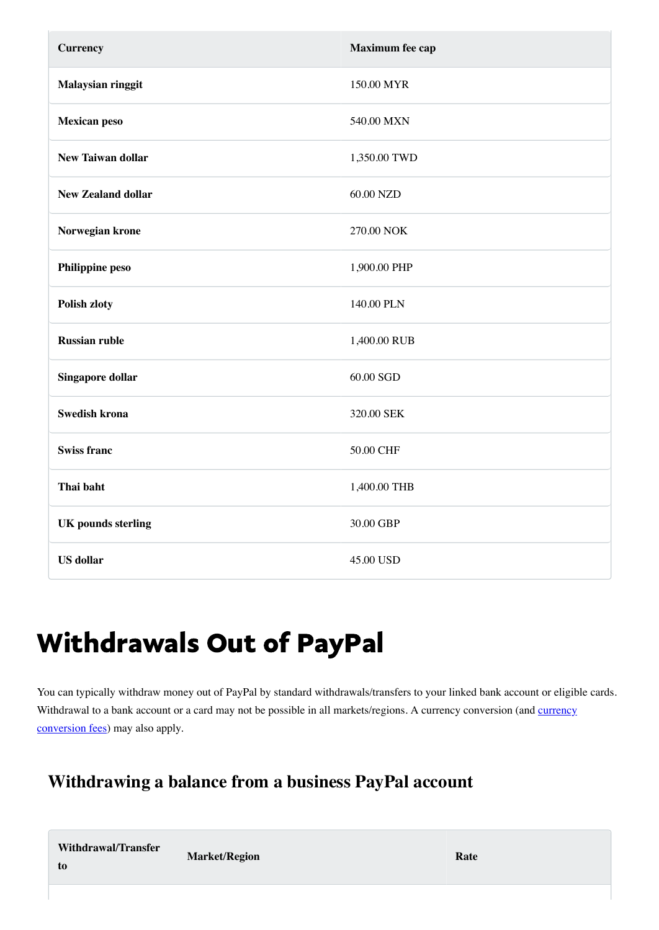| <b>Currency</b>           | Maximum fee cap |
|---------------------------|-----------------|
| Malaysian ringgit         | 150.00 MYR      |
| <b>Mexican peso</b>       | 540.00 MXN      |
| <b>New Taiwan dollar</b>  | 1,350.00 TWD    |
| <b>New Zealand dollar</b> | 60.00 NZD       |
| Norwegian krone           | 270.00 NOK      |
| Philippine peso           | 1,900.00 PHP    |
| Polish zloty              | 140.00 PLN      |
| <b>Russian ruble</b>      | 1,400.00 RUB    |
| Singapore dollar          | 60.00 SGD       |
| <b>Swedish krona</b>      | 320.00 SEK      |
| <b>Swiss franc</b>        | 50.00 CHF       |
| Thai baht                 | 1,400.00 THB    |
| <b>UK</b> pounds sterling | 30.00 GBP       |
| <b>US</b> dollar          | 45.00 USD       |

## Withdrawals Out of PayPal

You can typically withdraw money out of PayPal by standard withdrawals/transfers to your linked bank account or eligible cards. [Withdrawal to a bank account or a card may not be possible in all markets/regions. A currency conversion \(and currency](#page-19-0) conversion fees) may also apply.

#### **Withdrawing a balance from a business PayPal account**

**Withdrawal/Transfer to**

**Market/Region Rate**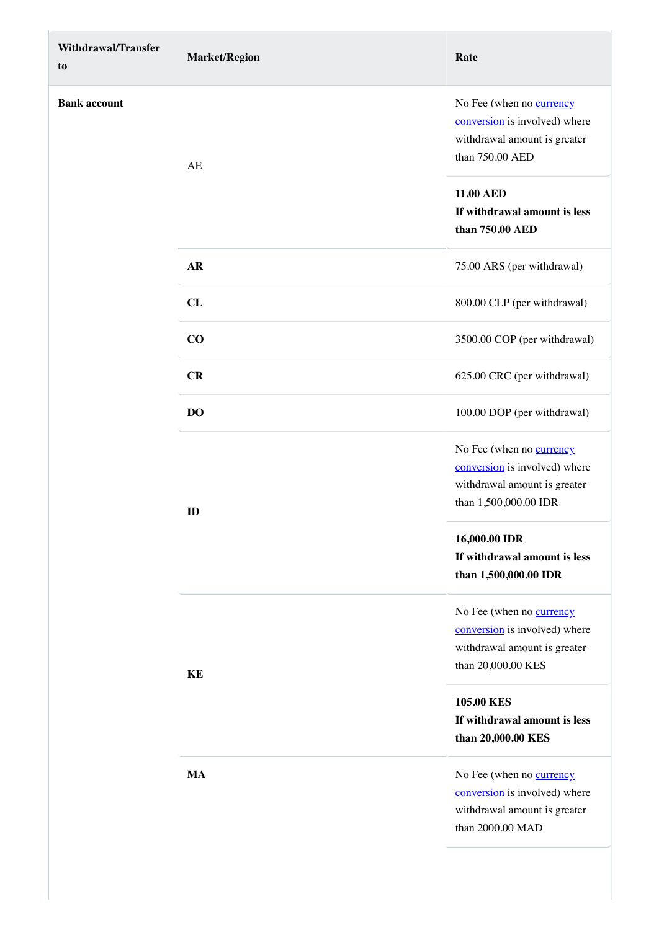| <b>Withdrawal/Transfer</b><br>to | <b>Market/Region</b> | Rate                                                                                                               |
|----------------------------------|----------------------|--------------------------------------------------------------------------------------------------------------------|
| <b>Bank account</b>              | AE                   | No Fee (when no currency<br>conversion is involved) where<br>withdrawal amount is greater<br>than 750.00 AED       |
|                                  |                      | <b>11.00 AED</b><br>If withdrawal amount is less<br>than 750.00 AED                                                |
|                                  | AR                   | 75.00 ARS (per withdrawal)                                                                                         |
|                                  | CL                   | 800.00 CLP (per withdrawal)                                                                                        |
|                                  | CO                   | 3500.00 COP (per withdrawal)                                                                                       |
|                                  | CR                   | 625.00 CRC (per withdrawal)                                                                                        |
|                                  | DO                   | 100.00 DOP (per withdrawal)                                                                                        |
|                                  | ID                   | No Fee (when no currency<br>conversion is involved) where<br>withdrawal amount is greater<br>than 1,500,000.00 IDR |
|                                  |                      | 16,000.00 IDR<br>If withdrawal amount is less<br>than 1,500,000.00 IDR                                             |
|                                  | KE                   | No Fee (when no currency<br>conversion is involved) where<br>withdrawal amount is greater<br>than 20,000.00 KES    |
|                                  |                      | 105.00 KES<br>If withdrawal amount is less<br>than 20,000.00 KES                                                   |
|                                  | <b>MA</b>            | No Fee (when no currency<br>conversion is involved) where<br>withdrawal amount is greater<br>than 2000.00 MAD      |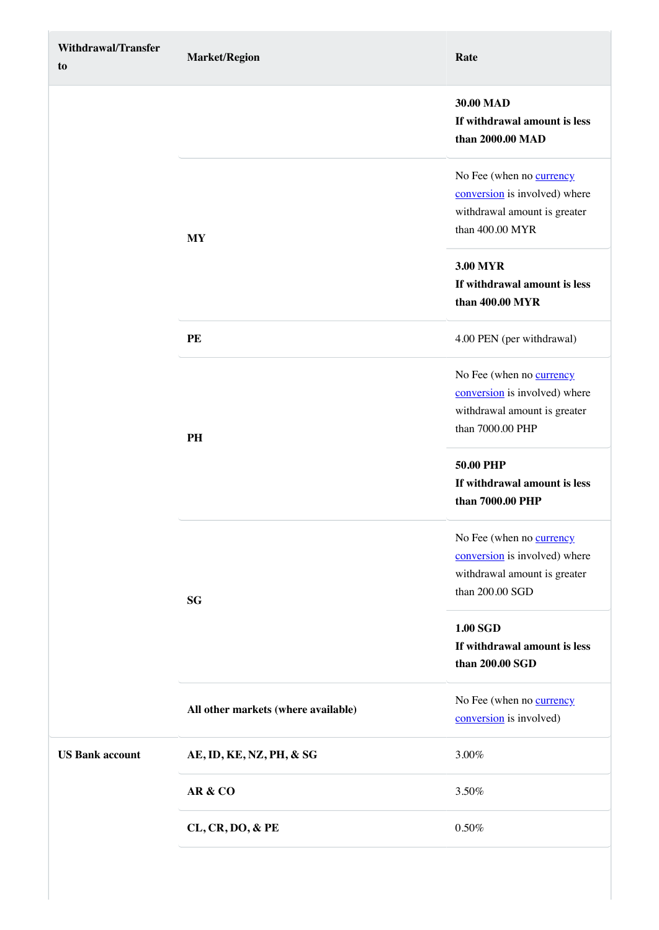**to**

**MY**

**PH**

**SG**

**30.00 MAD If withdrawal amount is less than 2000.00 MAD**

[No Fee \(when no currency](#page-18-0) conversion is involved) where withdrawal amount is greater than 400.00 MYR

**3.00 MYR If withdrawal amount is less than 400.00 MYR**

**PE** 4.00 PEN (per withdrawal)

[No Fee \(when no currency](#page-18-0) conversion is involved) where withdrawal amount is greater than 7000.00 PHP

**50.00 PHP If withdrawal amount is less than 7000.00 PHP**

[No Fee \(when no currency](#page-18-0) conversion is involved) where withdrawal amount is greater than 200.00 SGD

**1.00 SGD If withdrawal amount is less than 200.00 SGD**

**All other markets (where available)** [No Fee \(when no currency](#page-18-0) conversion is involved) **US Bank account AE, ID, KE, NZ, PH, & SG** 3.00% **AR & CO** 3.50% **CL, CR, DO, & PE** 0.50%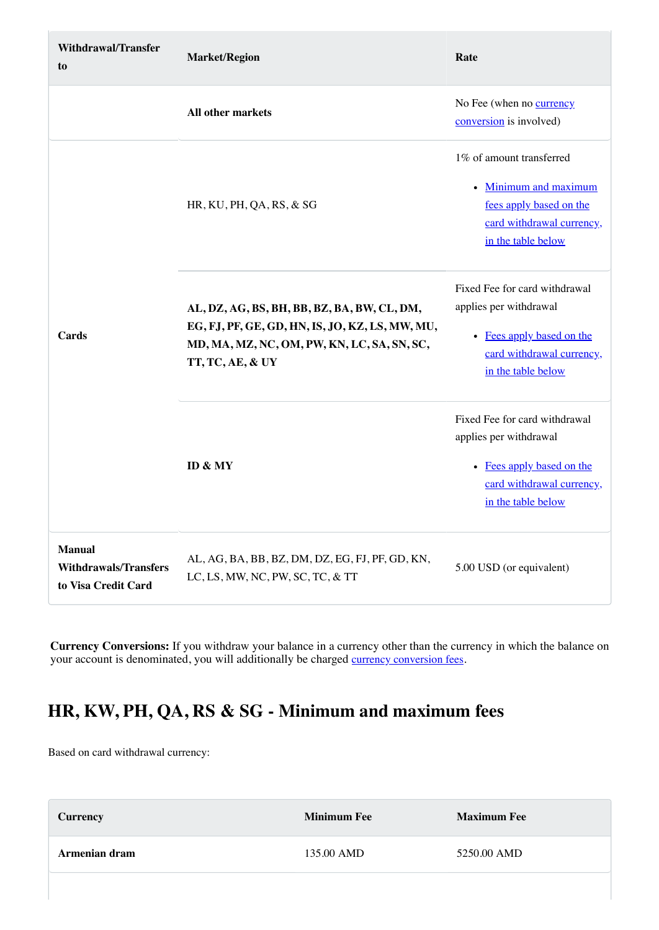| <b>Withdrawal/Transfer</b><br>to                                     | <b>Market/Region</b>                                                                                                                                              | Rate                                                                                                                                    |
|----------------------------------------------------------------------|-------------------------------------------------------------------------------------------------------------------------------------------------------------------|-----------------------------------------------------------------------------------------------------------------------------------------|
|                                                                      | <b>All other markets</b>                                                                                                                                          | No Fee (when no currency<br>conversion is involved)                                                                                     |
|                                                                      | HR, KU, PH, QA, RS, $&$ SG                                                                                                                                        | 1% of amount transferred<br>• Minimum and maximum<br>fees apply based on the<br>card withdrawal currency,<br>in the table below         |
| Cards                                                                | AL, DZ, AG, BS, BH, BB, BZ, BA, BW, CL, DM,<br>EG, FJ, PF, GE, GD, HN, IS, JO, KZ, LS, MW, MU,<br>MD, MA, MZ, NC, OM, PW, KN, LC, SA, SN, SC,<br>TT, TC, AE, & UY | Fixed Fee for card withdrawal<br>applies per withdrawal<br>• Fees apply based on the<br>card withdrawal currency,<br>in the table below |
|                                                                      | <b>ID &amp; MY</b>                                                                                                                                                | Fixed Fee for card withdrawal<br>applies per withdrawal<br>• Fees apply based on the<br>card withdrawal currency,<br>in the table below |
| <b>Manual</b><br><b>Withdrawals/Transfers</b><br>to Visa Credit Card | AL, AG, BA, BB, BZ, DM, DZ, EG, FJ, PF, GD, KN,<br>LC, LS, MW, NC, PW, SC, TC, & TT                                                                               | 5.00 USD (or equivalent)                                                                                                                |

### <span id="page-28-0"></span>**HR, KW, PH, QA, RS & SG - Minimum and maximum fees**

Based on card withdrawal currency:

| <b>Currency</b>      | <b>Minimum Fee</b> | <b>Maximum Fee</b> |
|----------------------|--------------------|--------------------|
| <b>Armenian dram</b> | 135.00 AMD         | 5250.00 AMD        |
|                      |                    |                    |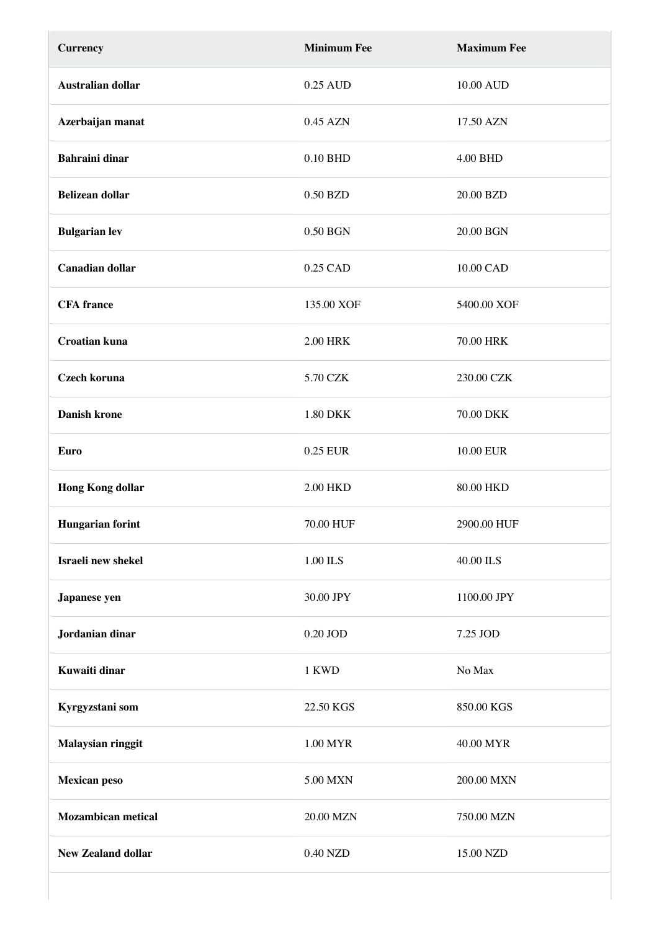| <b>Currency</b>           | <b>Minimum Fee</b> | <b>Maximum Fee</b> |
|---------------------------|--------------------|--------------------|
| <b>Australian dollar</b>  | 0.25 AUD           | 10.00 AUD          |
| Azerbaijan manat          | 0.45 AZN           | 17.50 AZN          |
| <b>Bahraini dinar</b>     | $0.10$ BHD         | 4.00 BHD           |
| <b>Belizean dollar</b>    | 0.50 BZD           | 20.00 BZD          |
| <b>Bulgarian lev</b>      | 0.50 BGN           | 20.00 BGN          |
| <b>Canadian dollar</b>    | 0.25 CAD           | 10.00 CAD          |
| <b>CFA</b> france         | 135.00 XOF         | 5400.00 XOF        |
| <b>Croatian kuna</b>      | <b>2.00 HRK</b>    | 70.00 HRK          |
| Czech koruna              | 5.70 CZK           | 230.00 CZK         |
| <b>Danish krone</b>       | 1.80 DKK           | 70.00 DKK          |
| <b>Euro</b>               | 0.25 EUR           | 10.00 EUR          |
| <b>Hong Kong dollar</b>   | 2.00 HKD           | 80.00 HKD          |
| <b>Hungarian forint</b>   | 70.00 HUF          | 2900.00 HUF        |
| Israeli new shekel        | 1.00 ILS           | 40.00 ILS          |
| Japanese yen              | 30.00 JPY          | 1100.00 JPY        |
| Jordanian dinar           | 0.20 JOD           | 7.25 JOD           |
| Kuwaiti dinar             | 1 KWD              | No Max             |
| Kyrgyzstani som           | 22.50 KGS          | 850.00 KGS         |
| Malaysian ringgit         | 1.00 MYR           | 40.00 MYR          |
| <b>Mexican peso</b>       | 5.00 MXN           | 200.00 MXN         |
| <b>Mozambican metical</b> | 20.00 MZN          | 750.00 MZN         |
| <b>New Zealand dollar</b> | 0.40 NZD           | 15.00 NZD          |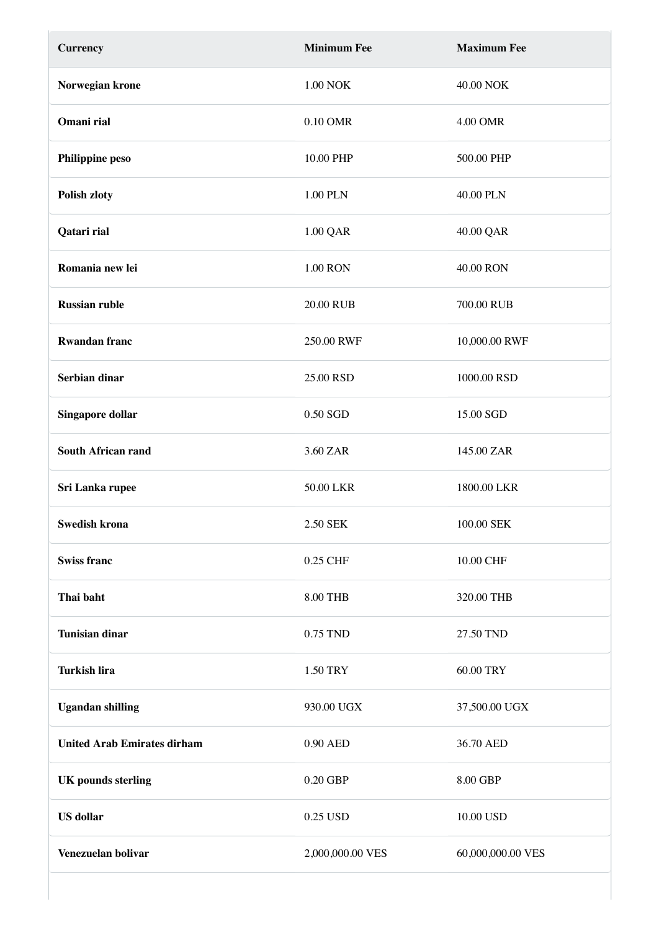| <b>Currency</b>                    | <b>Minimum Fee</b> | <b>Maximum Fee</b> |
|------------------------------------|--------------------|--------------------|
| Norwegian krone                    | 1.00 NOK           | 40.00 NOK          |
| Omani rial                         | 0.10 OMR           | 4.00 OMR           |
| Philippine peso                    | 10.00 PHP          | 500.00 PHP         |
| Polish zloty                       | 1.00 PLN           | 40.00 PLN          |
| Qatari rial                        | 1.00 QAR           | 40.00 QAR          |
| Romania new lei                    | 1.00 RON           | 40.00 RON          |
| <b>Russian ruble</b>               | 20.00 RUB          | 700.00 RUB         |
| <b>Rwandan franc</b>               | 250.00 RWF         | 10,000.00 RWF      |
| Serbian dinar                      | 25.00 RSD          | 1000.00 RSD        |
| Singapore dollar                   | 0.50 SGD           | 15.00 SGD          |
| <b>South African rand</b>          | 3.60 ZAR           | 145.00 ZAR         |
| Sri Lanka rupee                    | 50.00 LKR          | 1800.00 LKR        |
| <b>Swedish krona</b>               | 2.50 SEK           | 100.00 SEK         |
| <b>Swiss franc</b>                 | 0.25 CHF           | 10.00 CHF          |
| Thai baht                          | 8.00 THB           | 320.00 THB         |
| <b>Tunisian dinar</b>              | 0.75 TND           | 27.50 TND          |
| <b>Turkish lira</b>                | 1.50 TRY           | 60.00 TRY          |
| <b>Ugandan shilling</b>            | 930.00 UGX         | 37,500.00 UGX      |
| <b>United Arab Emirates dirham</b> | 0.90 AED           | 36.70 AED          |
| <b>UK</b> pounds sterling          | 0.20 GBP           | 8.00 GBP           |
| <b>US</b> dollar                   | 0.25 USD           | 10.00 USD          |
| Venezuelan bolivar                 | 2,000,000.00 VES   | 60,000,000.00 VES  |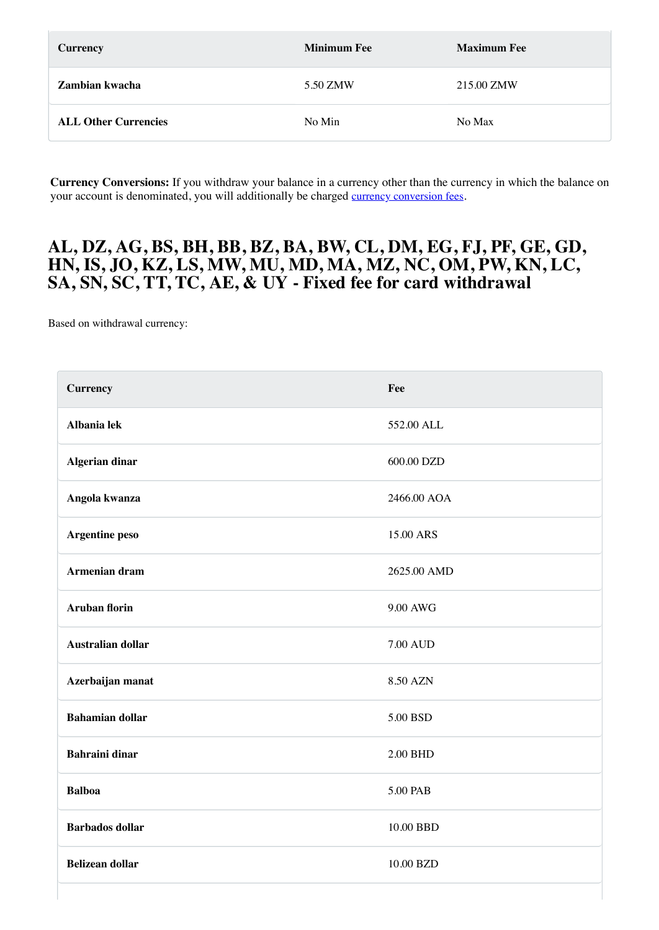| <b>Currency</b>             | <b>Minimum Fee</b> | <b>Maximum Fee</b> |
|-----------------------------|--------------------|--------------------|
| Zambian kwacha              | 5.50 ZMW           | 215.00 ZMW         |
| <b>ALL Other Currencies</b> | No Min             | No Max             |

#### <span id="page-31-0"></span>**AL, DZ, AG, BS, BH, BB, BZ, BA, BW, CL, DM, EG, FJ, PF, GE, GD, HN, IS, JO, KZ, LS, MW, MU, MD, MA, MZ, NC, OM, PW, KN, LC, SA, SN, SC, TT, TC, AE, & UY - Fixed fee for card withdrawal**

Based on withdrawal currency:

| <b>Currency</b>          | Fee             |
|--------------------------|-----------------|
| Albania lek              | 552.00 ALL      |
| <b>Algerian dinar</b>    | 600.00 DZD      |
| Angola kwanza            | 2466.00 AOA     |
| Argentine peso           | 15.00 ARS       |
| Armenian dram            | 2625.00 AMD     |
| <b>Aruban florin</b>     | 9.00 AWG        |
| <b>Australian dollar</b> | <b>7.00 AUD</b> |
| Azerbaijan manat         | 8.50 AZN        |
| <b>Bahamian dollar</b>   | 5.00 BSD        |
| <b>Bahraini dinar</b>    | 2.00 BHD        |
| <b>Balboa</b>            | 5.00 PAB        |
| <b>Barbados</b> dollar   | 10.00 BBD       |
| <b>Belizean dollar</b>   | 10.00 BZD       |
|                          |                 |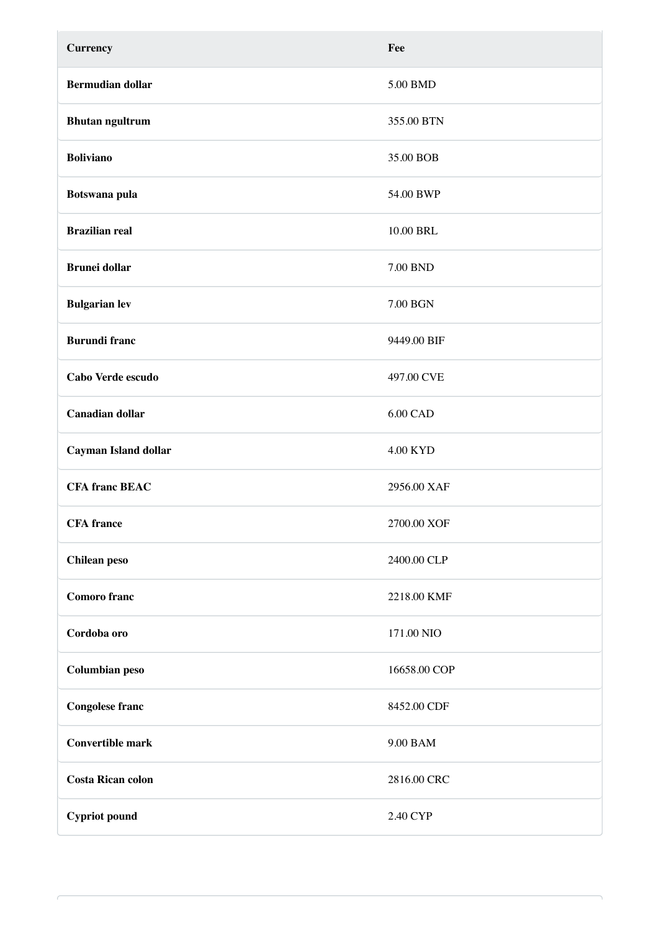| <b>Currency</b>          | Fee             |
|--------------------------|-----------------|
| <b>Bermudian dollar</b>  | 5.00 BMD        |
| <b>Bhutan ngultrum</b>   | 355.00 BTN      |
| <b>Boliviano</b>         | 35.00 BOB       |
| Botswana pula            | 54.00 BWP       |
| <b>Brazilian real</b>    | 10.00 BRL       |
| <b>Brunei dollar</b>     | 7.00 BND        |
| <b>Bulgarian lev</b>     | 7.00 BGN        |
| <b>Burundi franc</b>     | 9449.00 BIF     |
| Cabo Verde escudo        | 497.00 CVE      |
| <b>Canadian dollar</b>   | 6.00 CAD        |
|                          |                 |
| Cayman Island dollar     | <b>4.00 KYD</b> |
| <b>CFA</b> franc BEAC    | 2956.00 XAF     |
| <b>CFA</b> france        | 2700.00 XOF     |
| <b>Chilean</b> peso      | 2400.00 CLP     |
| <b>Comoro</b> franc      | 2218.00 KMF     |
| Cordoba oro              | 171.00 NIO      |
| <b>Columbian peso</b>    | 16658.00 COP    |
| <b>Congolese franc</b>   | 8452.00 CDF     |
| <b>Convertible mark</b>  | 9.00 BAM        |
| <b>Costa Rican colon</b> | 2816.00 CRC     |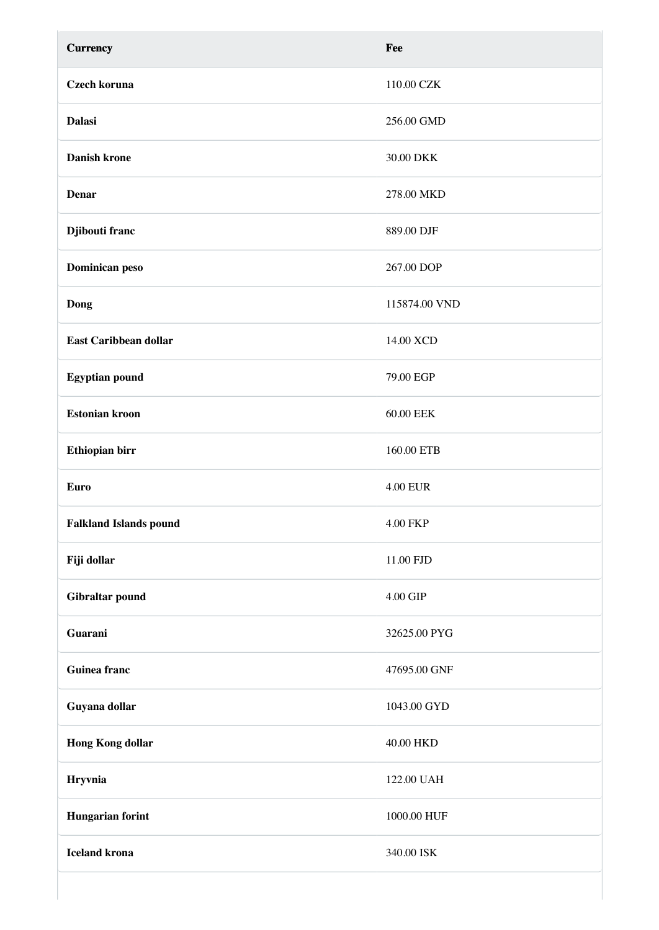| <b>Currency</b>               | Fee             |
|-------------------------------|-----------------|
| <b>Czech koruna</b>           | 110.00 CZK      |
| <b>Dalasi</b>                 | 256.00 GMD      |
| <b>Danish krone</b>           | 30.00 DKK       |
| <b>Denar</b>                  | 278.00 MKD      |
| Djibouti franc                | 889.00 DJF      |
| <b>Dominican peso</b>         | 267.00 DOP      |
| Dong                          | 115874.00 VND   |
| <b>East Caribbean dollar</b>  | 14.00 XCD       |
| Egyptian pound                | 79.00 EGP       |
| <b>Estonian kroon</b>         | 60.00 EEK       |
| Ethiopian birr                | 160.00 ETB      |
| <b>Euro</b>                   | <b>4.00 EUR</b> |
| <b>Falkland Islands pound</b> | 4.00 FKP        |
| Fiji dollar                   | 11.00 FJD       |
| Gibraltar pound               | 4.00 GIP        |
| Guarani                       | 32625.00 PYG    |
| <b>Guinea franc</b>           | 47695.00 GNF    |
| Guyana dollar                 | 1043.00 GYD     |
| <b>Hong Kong dollar</b>       | 40.00 HKD       |
| Hryvnia                       | 122.00 UAH      |
| <b>Hungarian forint</b>       | 1000.00 HUF     |
| <b>Iceland krona</b>          | 340.00 ISK      |
|                               |                 |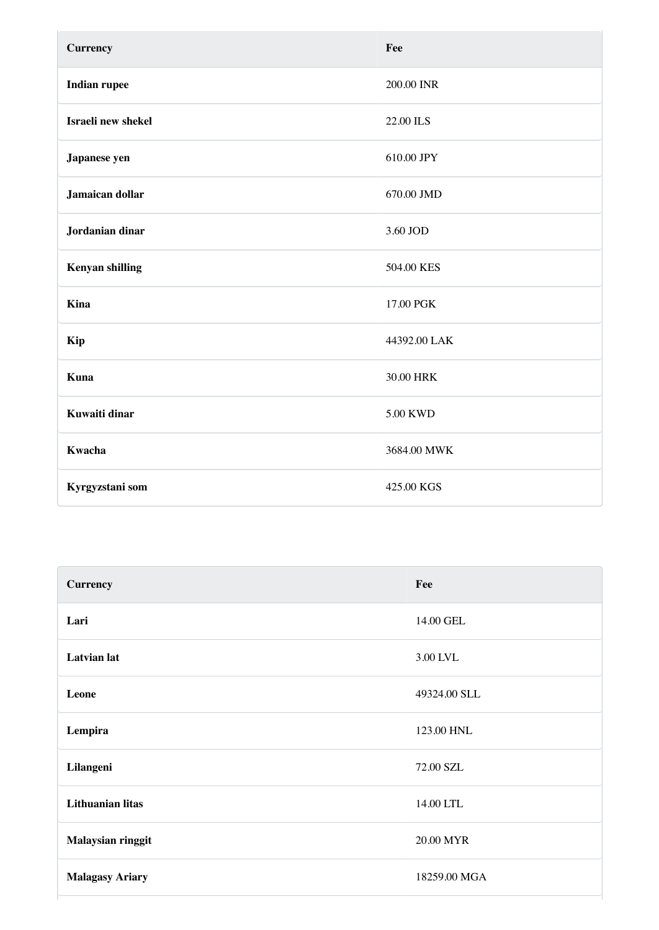| <b>Currency</b>        | Fee          |
|------------------------|--------------|
| <b>Indian rupee</b>    | 200.00 INR   |
| Israeli new shekel     | 22.00 ILS    |
| Japanese yen           | 610.00 JPY   |
| Jamaican dollar        | 670.00 JMD   |
| Jordanian dinar        | 3.60 JOD     |
| <b>Kenyan shilling</b> | 504.00 KES   |
| <b>Kina</b>            | 17.00 PGK    |
| <b>Kip</b>             | 44392.00 LAK |
| Kuna                   | 30.00 HRK    |
| Kuwaiti dinar          | 5.00 KWD     |
| Kwacha                 | 3684.00 MWK  |
| Kyrgyzstani som        | 425.00 KGS   |

| <b>Currency</b>         | Fee          |
|-------------------------|--------------|
| Lari                    | 14.00 GEL    |
| <b>Latvian</b> lat      | 3.00 LVL     |
| Leone                   | 49324.00 SLL |
| Lempira                 | 123.00 HNL   |
| Lilangeni               | 72.00 SZL    |
| <b>Lithuanian litas</b> | 14.00 LTL    |
| Malaysian ringgit       | 20.00 MYR    |
| <b>Malagasy Ariary</b>  | 18259.00 MGA |
|                         |              |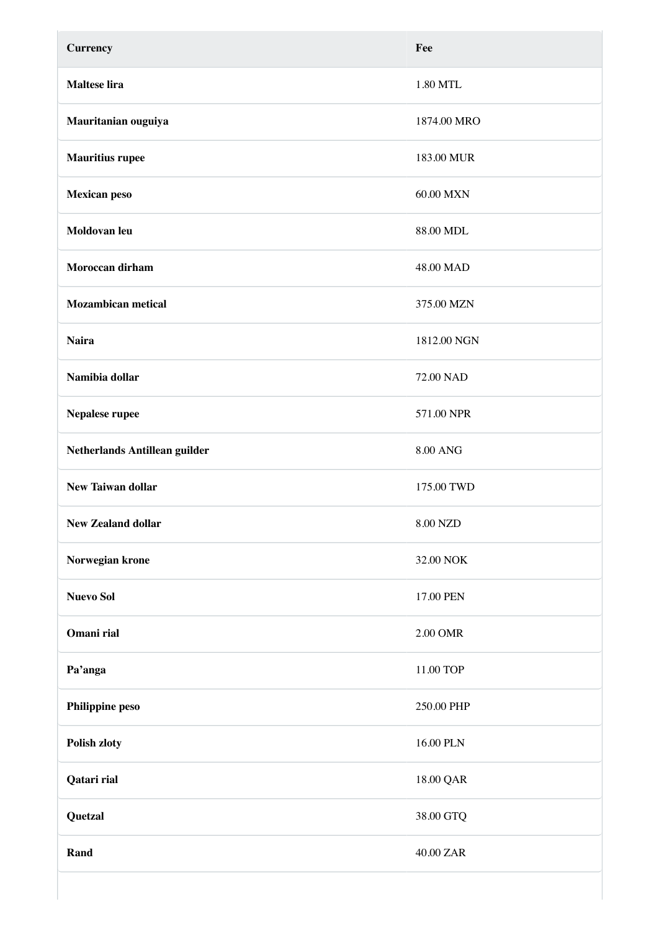| <b>Currency</b>               | Fee             |
|-------------------------------|-----------------|
| <b>Maltese lira</b>           | 1.80 MTL        |
| Mauritanian ouguiya           | 1874.00 MRO     |
| <b>Mauritius rupee</b>        | 183.00 MUR      |
| <b>Mexican peso</b>           | 60.00 MXN       |
| Moldovan leu                  | 88.00 MDL       |
| Moroccan dirham               | 48.00 MAD       |
| <b>Mozambican metical</b>     | 375.00 MZN      |
| <b>Naira</b>                  | 1812.00 NGN     |
| Namibia dollar                | 72.00 NAD       |
| Nepalese rupee                | 571.00 NPR      |
| Netherlands Antillean guilder | <b>8.00 ANG</b> |
| <b>New Taiwan dollar</b>      | 175.00 TWD      |
| <b>New Zealand dollar</b>     | 8.00 NZD        |
| Norwegian krone               | 32.00 NOK       |
| <b>Nuevo Sol</b>              | 17.00 PEN       |
| Omani rial                    | 2.00 OMR        |
| Pa'anga                       | 11.00 TOP       |
| Philippine peso               | 250.00 PHP      |
| Polish zloty                  | 16.00 PLN       |
| Qatari rial                   | 18.00 QAR       |
| Quetzal                       | 38.00 GTQ       |
| Rand                          | 40.00 ZAR       |
|                               |                 |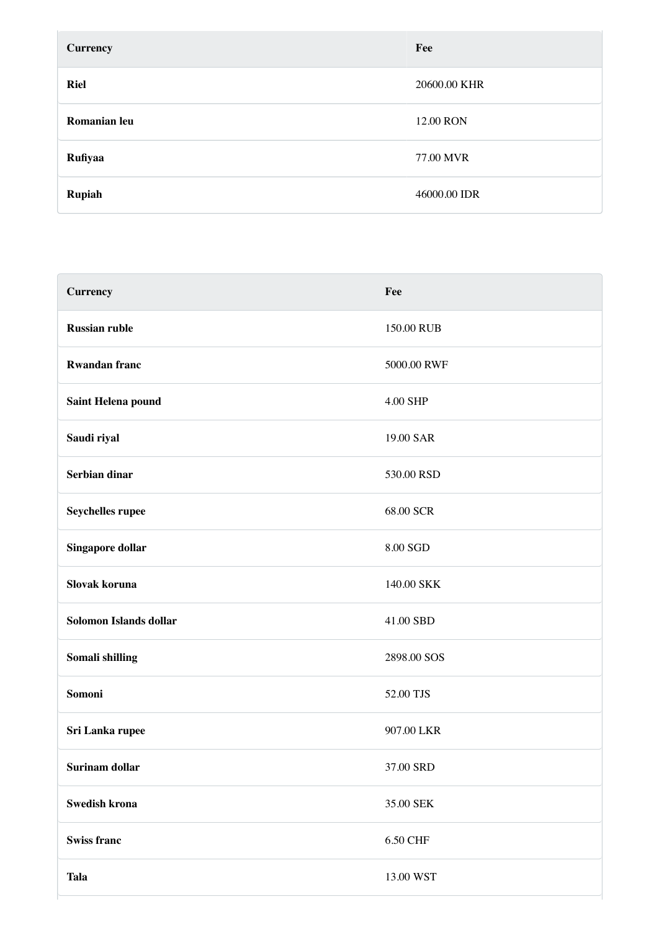| <b>Currency</b> | Fee          |
|-----------------|--------------|
| <b>Riel</b>     | 20600.00 KHR |
| Romanian leu    | 12.00 RON    |
| Rufiyaa         | 77.00 MVR    |
| Rupiah          | 46000.00 IDR |

| <b>Currency</b>        | Fee         |
|------------------------|-------------|
| <b>Russian ruble</b>   | 150.00 RUB  |
| <b>Rwandan franc</b>   | 5000.00 RWF |
| Saint Helena pound     | 4.00 SHP    |
| Saudi riyal            | 19.00 SAR   |
| Serbian dinar          | 530.00 RSD  |
| Seychelles rupee       | 68.00 SCR   |
| Singapore dollar       | 8.00 SGD    |
| Slovak koruna          | 140.00 SKK  |
| Solomon Islands dollar | 41.00 SBD   |
| Somali shilling        | 2898.00 SOS |
| Somoni                 | 52.00 TJS   |
| Sri Lanka rupee        | 907.00 LKR  |
| Surinam dollar         | 37.00 SRD   |
| Swedish krona          | 35.00 SEK   |
| <b>Swiss franc</b>     | 6.50 CHF    |
| <b>Tala</b>            | 13.00 WST   |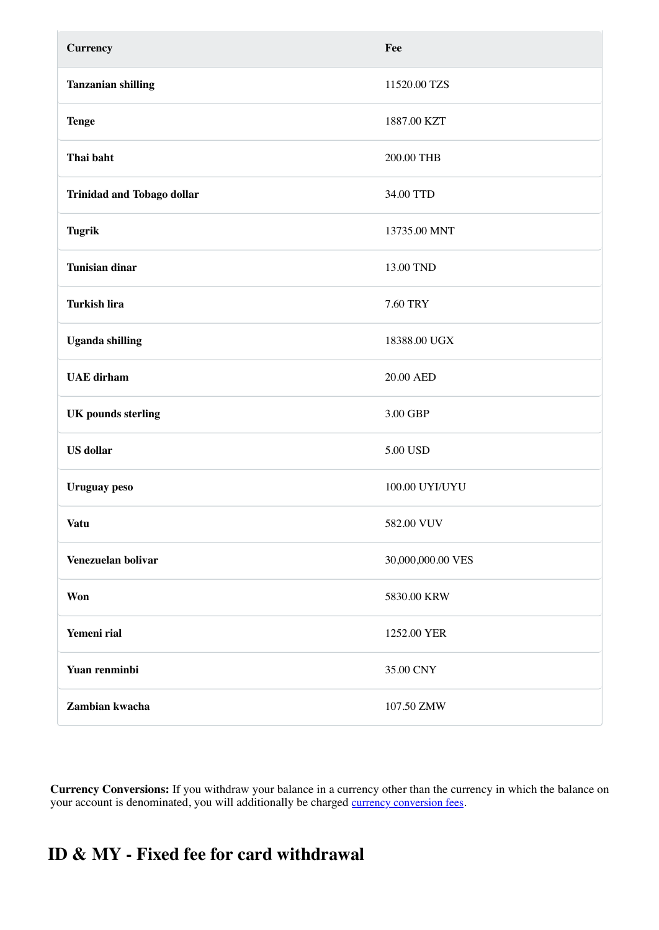| <b>Currency</b>                   | Fee               |
|-----------------------------------|-------------------|
| <b>Tanzanian shilling</b>         | 11520.00 TZS      |
| <b>Tenge</b>                      | 1887.00 KZT       |
| Thai baht                         | 200.00 THB        |
| <b>Trinidad and Tobago dollar</b> | 34.00 TTD         |
| <b>Tugrik</b>                     | 13735.00 MNT      |
| <b>Tunisian dinar</b>             | 13.00 TND         |
| <b>Turkish lira</b>               | 7.60 TRY          |
| <b>Uganda shilling</b>            | 18388.00 UGX      |
| <b>UAE</b> dirham                 | 20.00 AED         |
| <b>UK</b> pounds sterling         | 3.00 GBP          |
| <b>US</b> dollar                  | 5.00 USD          |
| <b>Uruguay</b> peso               | 100.00 UYI/UYU    |
| Vatu                              | 582.00 VUV        |
| Venezuelan bolivar                | 30,000,000.00 VES |
| <b>Won</b>                        | 5830.00 KRW       |
| Yemeni rial                       | 1252.00 YER       |
| Yuan renminbi                     | 35.00 CNY         |
| Zambian kwacha                    | 107.50 ZMW        |

#### <span id="page-37-0"></span>**ID & MY - Fixed fee for card withdrawal**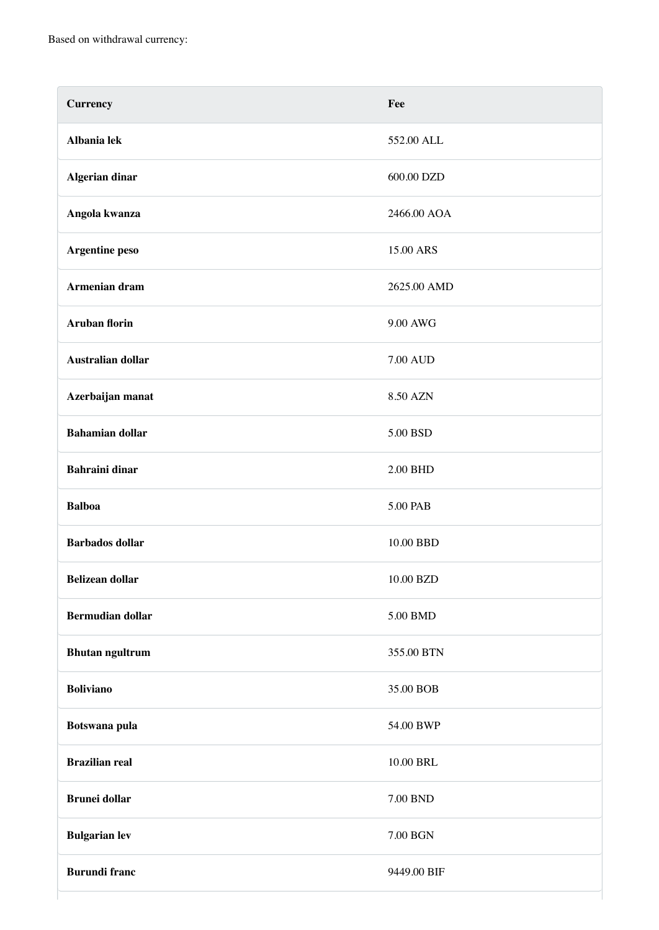| <b>Currency</b>         | Fee             |
|-------------------------|-----------------|
| Albania lek             | 552.00 ALL      |
| <b>Algerian dinar</b>   | 600.00 DZD      |
| Angola kwanza           | 2466.00 AOA     |
| Argentine peso          | 15.00 ARS       |
| Armenian dram           | 2625.00 AMD     |
| <b>Aruban florin</b>    | 9.00 AWG        |
| Australian dollar       | <b>7.00 AUD</b> |
| Azerbaijan manat        | 8.50 AZN        |
| <b>Bahamian dollar</b>  | 5.00 BSD        |
| <b>Bahraini dinar</b>   | 2.00 BHD        |
| <b>Balboa</b>           | 5.00 PAB        |
| <b>Barbados</b> dollar  | 10.00 BBD       |
| <b>Belizean dollar</b>  | 10.00 BZD       |
| <b>Bermudian dollar</b> | 5.00 BMD        |
| <b>Bhutan ngultrum</b>  | 355.00 BTN      |
| <b>Boliviano</b>        | 35.00 BOB       |
| Botswana pula           | 54.00 BWP       |
| <b>Brazilian real</b>   | 10.00 BRL       |
| <b>Brunei</b> dollar    | 7.00 BND        |
| <b>Bulgarian lev</b>    | 7.00 BGN        |
| <b>Burundi</b> franc    | 9449.00 BIF     |
|                         |                 |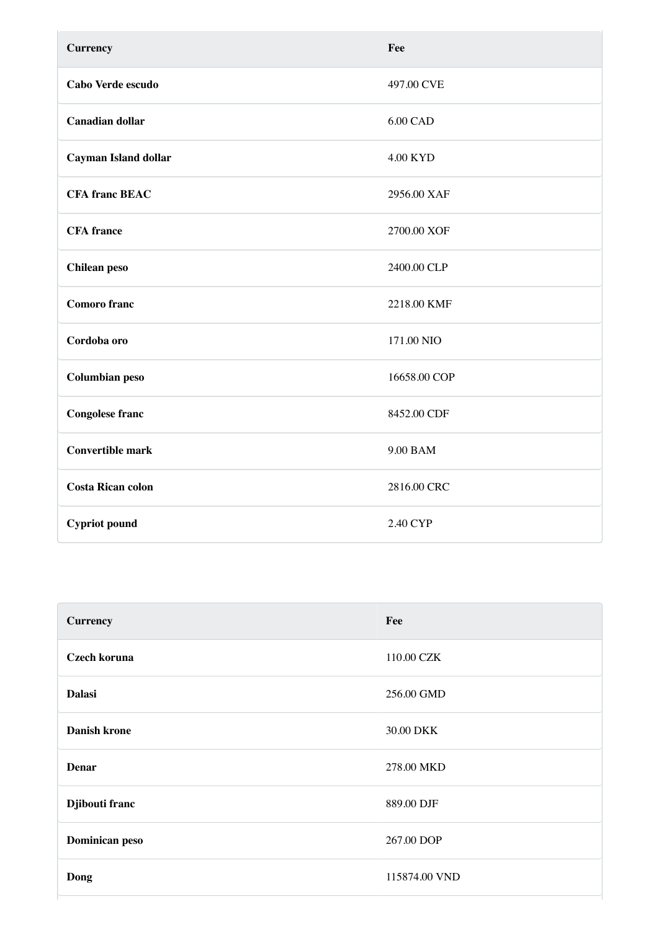| <b>Currency</b>          | Fee          |
|--------------------------|--------------|
| Cabo Verde escudo        | 497.00 CVE   |
| <b>Canadian dollar</b>   | 6.00 CAD     |
| Cayman Island dollar     | 4.00 KYD     |
| <b>CFA</b> franc BEAC    | 2956.00 XAF  |
| <b>CFA</b> france        | 2700.00 XOF  |
| <b>Chilean</b> peso      | 2400.00 CLP  |
| <b>Comoro</b> franc      | 2218.00 KMF  |
| Cordoba oro              | 171.00 NIO   |
| <b>Columbian peso</b>    | 16658.00 COP |
| <b>Congolese franc</b>   | 8452.00 CDF  |
| <b>Convertible mark</b>  | 9.00 BAM     |
| <b>Costa Rican colon</b> | 2816.00 CRC  |
| <b>Cypriot</b> pound     | 2.40 CYP     |

| <b>Currency</b>       | Fee           |
|-----------------------|---------------|
| Czech koruna          | 110.00 CZK    |
| <b>Dalasi</b>         | 256.00 GMD    |
| <b>Danish krone</b>   | 30.00 DKK     |
| <b>Denar</b>          | 278.00 MKD    |
| Djibouti franc        | 889.00 DJF    |
| <b>Dominican peso</b> | 267.00 DOP    |
| Dong                  | 115874.00 VND |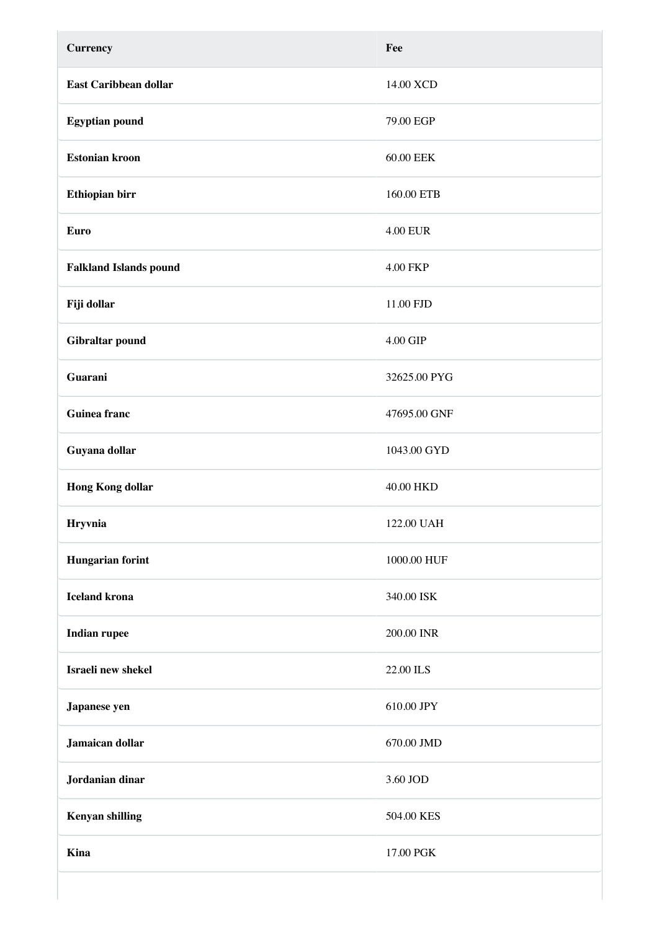| <b>Currency</b>               | Fee             |
|-------------------------------|-----------------|
| <b>East Caribbean dollar</b>  | 14.00 XCD       |
| <b>Egyptian pound</b>         | 79.00 EGP       |
| <b>Estonian kroon</b>         | 60.00 EEK       |
| Ethiopian birr                | 160.00 ETB      |
| <b>Euro</b>                   | <b>4.00 EUR</b> |
| <b>Falkland Islands pound</b> | 4.00 FKP        |
| Fiji dollar                   | 11.00 FJD       |
| Gibraltar pound               | 4.00 GIP        |
| Guarani                       | 32625.00 PYG    |
| <b>Guinea franc</b>           | 47695.00 GNF    |
| Guyana dollar                 | 1043.00 GYD     |
| <b>Hong Kong dollar</b>       | 40.00 HKD       |
| Hryvnia                       | 122.00 UAH      |
| <b>Hungarian forint</b>       | 1000.00 HUF     |
| <b>Iceland krona</b>          | 340.00 ISK      |
| <b>Indian rupee</b>           | 200.00 INR      |
| Israeli new shekel            | 22.00 ILS       |
| Japanese yen                  | 610.00 JPY      |
| Jamaican dollar               | 670.00 JMD      |
| Jordanian dinar               | 3.60 JOD        |
| <b>Kenyan shilling</b>        | 504.00 KES      |
| Kina                          | 17.00 PGK       |
|                               |                 |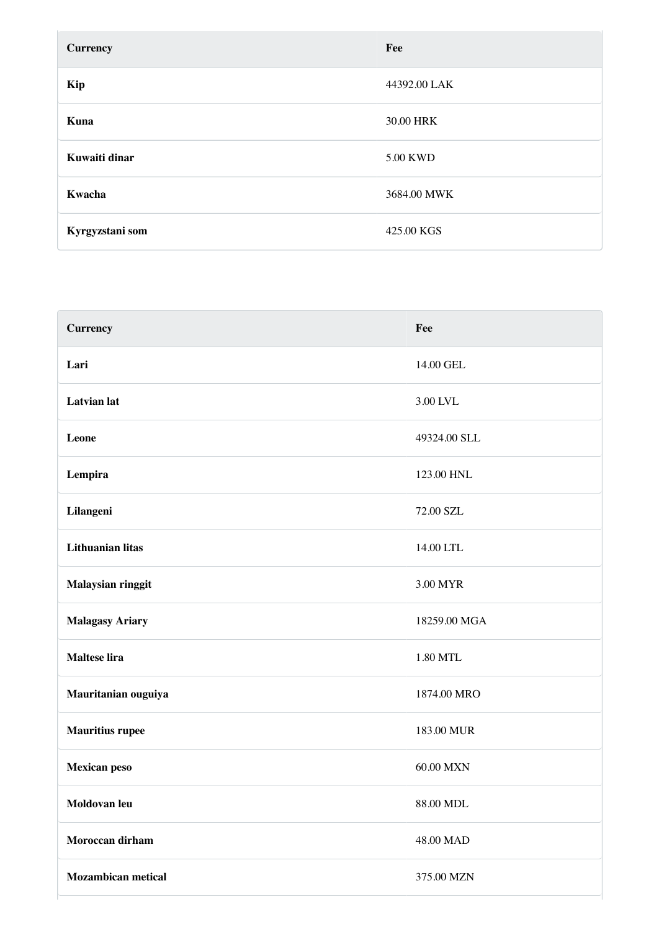| <b>Currency</b> | Fee          |
|-----------------|--------------|
| Kip             | 44392.00 LAK |
| Kuna            | 30.00 HRK    |
| Kuwaiti dinar   | 5.00 KWD     |
| Kwacha          | 3684.00 MWK  |
| Kyrgyzstani som | 425.00 KGS   |

| <b>Currency</b>           | Fee          |
|---------------------------|--------------|
| Lari                      | 14.00 GEL    |
| <b>Latvian</b> lat        | 3.00 LVL     |
| Leone                     | 49324.00 SLL |
| Lempira                   | 123.00 HNL   |
| Lilangeni                 | 72.00 SZL    |
| Lithuanian litas          | 14.00 LTL    |
| Malaysian ringgit         | 3.00 MYR     |
| <b>Malagasy Ariary</b>    | 18259.00 MGA |
| <b>Maltese lira</b>       | 1.80 MTL     |
| Mauritanian ouguiya       | 1874.00 MRO  |
| <b>Mauritius rupee</b>    | 183.00 MUR   |
| Mexican peso              | 60.00 MXN    |
| Moldovan leu              | 88.00 MDL    |
| Moroccan dirham           | 48.00 MAD    |
| <b>Mozambican metical</b> | 375.00 MZN   |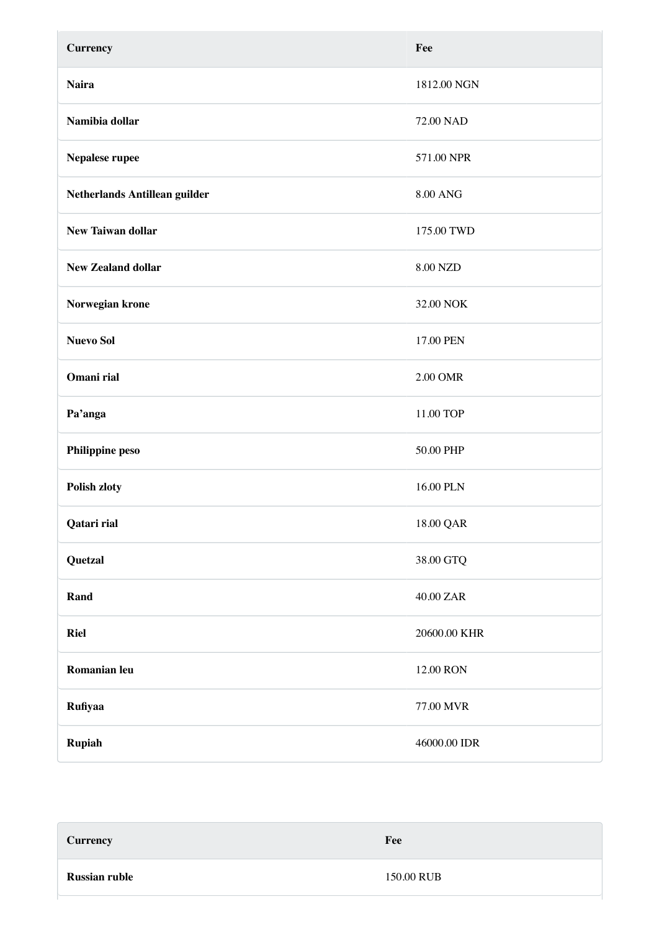| <b>Currency</b>               | Fee                   |
|-------------------------------|-----------------------|
| <b>Naira</b>                  | 1812.00 NGN           |
| Namibia dollar                | 72.00 NAD             |
| Nepalese rupee                | 571.00 NPR            |
| Netherlands Antillean guilder | 8.00 ANG              |
| New Taiwan dollar             | 175.00 TWD            |
| <b>New Zealand dollar</b>     | 8.00 NZD              |
| Norwegian krone               | 32.00 NOK             |
| <b>Nuevo Sol</b>              | 17.00 PEN             |
| Omani rial                    | 2.00 OMR              |
| Pa'anga                       | 11.00 TOP             |
| Philippine peso               | 50.00 PHP             |
| Polish zloty                  | 16.00 PLN             |
| Qatari rial                   | 18.00 QAR             |
| Quetzal                       | $38.00\;\mathrm{GTQ}$ |
| Rand                          | 40.00 ZAR             |
| <b>Riel</b>                   | 20600.00 KHR          |
| Romanian leu                  | 12.00 RON             |
| Rufiyaa                       | 77.00 MVR             |
| Rupiah                        | 46000.00 IDR          |

| <b>Currency</b>      | Fee        |
|----------------------|------------|
| <b>Russian ruble</b> | 150.00 RUB |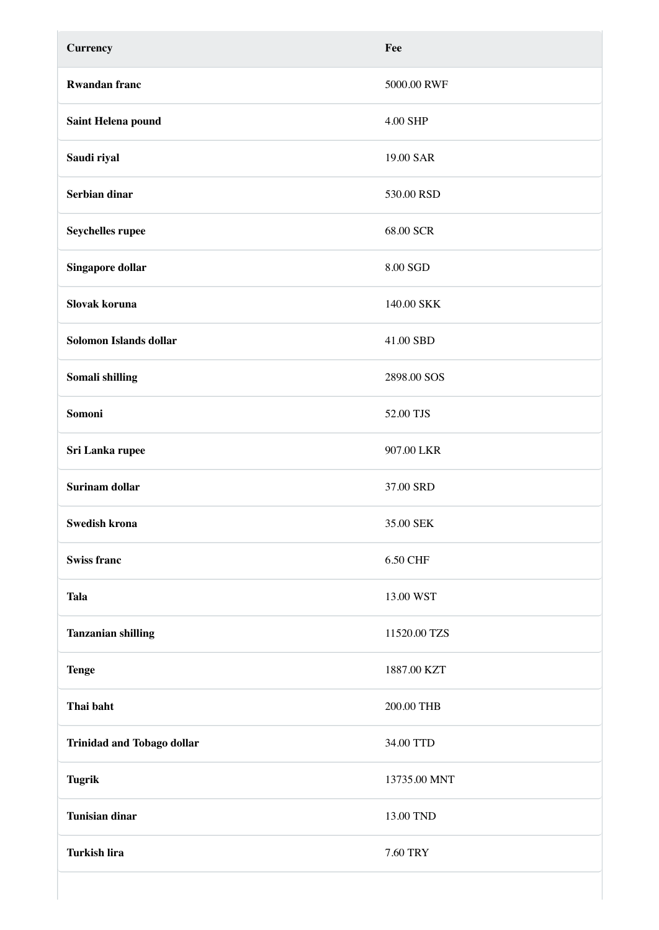| <b>Currency</b>                   | Fee          |
|-----------------------------------|--------------|
| <b>Rwandan franc</b>              | 5000.00 RWF  |
| Saint Helena pound                | 4.00 SHP     |
| Saudi riyal                       | 19.00 SAR    |
| Serbian dinar                     | 530.00 RSD   |
| Seychelles rupee                  | 68.00 SCR    |
| Singapore dollar                  | 8.00 SGD     |
| Slovak koruna                     | 140.00 SKK   |
| Solomon Islands dollar            | 41.00 SBD    |
| Somali shilling                   | 2898.00 SOS  |
| Somoni                            | 52.00 TJS    |
| Sri Lanka rupee                   | 907.00 LKR   |
| Surinam dollar                    | 37.00 SRD    |
| <b>Swedish krona</b>              | 35.00 SEK    |
| <b>Swiss franc</b>                | 6.50 CHF     |
| <b>Tala</b>                       | 13.00 WST    |
| <b>Tanzanian shilling</b>         | 11520.00 TZS |
| <b>Tenge</b>                      | 1887.00 KZT  |
| Thai baht                         | 200.00 THB   |
| <b>Trinidad and Tobago dollar</b> | 34.00 TTD    |
| <b>Tugrik</b>                     | 13735.00 MNT |
| <b>Tunisian dinar</b>             | 13.00 TND    |
| <b>Turkish lira</b>               | 7.60 TRY     |
|                                   |              |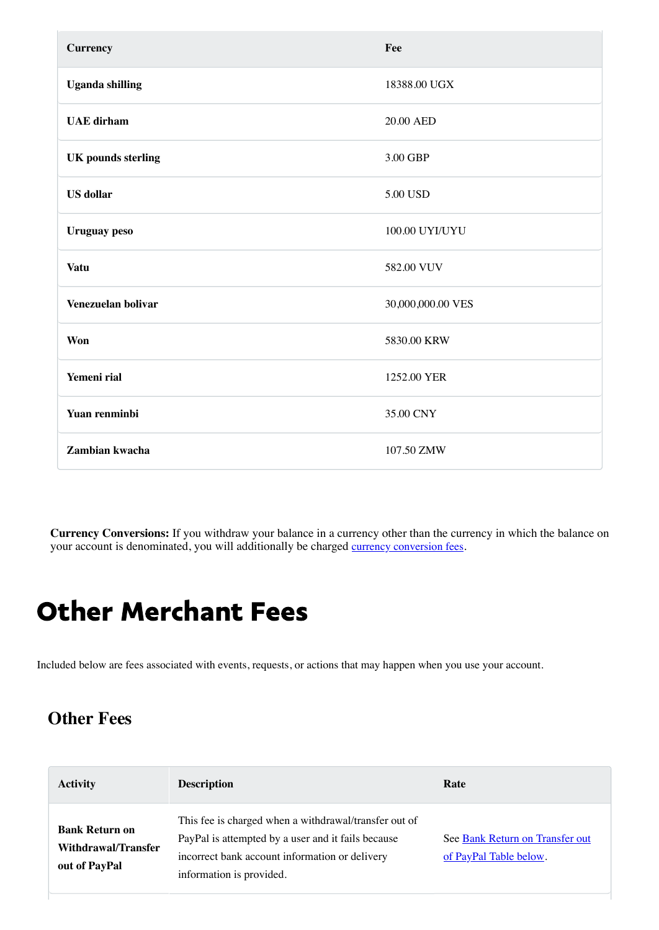| <b>Currency</b>           | Fee               |
|---------------------------|-------------------|
| <b>Uganda shilling</b>    | 18388.00 UGX      |
| <b>UAE</b> dirham         | 20.00 AED         |
| <b>UK</b> pounds sterling | 3.00 GBP          |
| <b>US</b> dollar          | 5.00 USD          |
| <b>Uruguay</b> peso       | 100.00 UYI/UYU    |
| <b>Vatu</b>               | 582.00 VUV        |
| Venezuelan bolivar        | 30,000,000.00 VES |
| Won                       | 5830.00 KRW       |
| Yemeni rial               | 1252.00 YER       |
| Yuan renminbi             | 35.00 CNY         |
| Zambian kwacha            | 107.50 ZMW        |

### Other Merchant Fees

Included below are fees associated with events, requests, or actions that may happen when you use your account.

#### **Other Fees**

| <b>Activity</b>                                               | <b>Description</b>                                                                                                                                                                        | Rate                                                      |
|---------------------------------------------------------------|-------------------------------------------------------------------------------------------------------------------------------------------------------------------------------------------|-----------------------------------------------------------|
| <b>Bank Return on</b><br>Withdrawal/Transfer<br>out of PayPal | This fee is charged when a withdrawal/transfer out of<br>PayPal is attempted by a user and it fails because<br>incorrect bank account information or delivery<br>information is provided. | See Bank Return on Transfer out<br>of PayPal Table below. |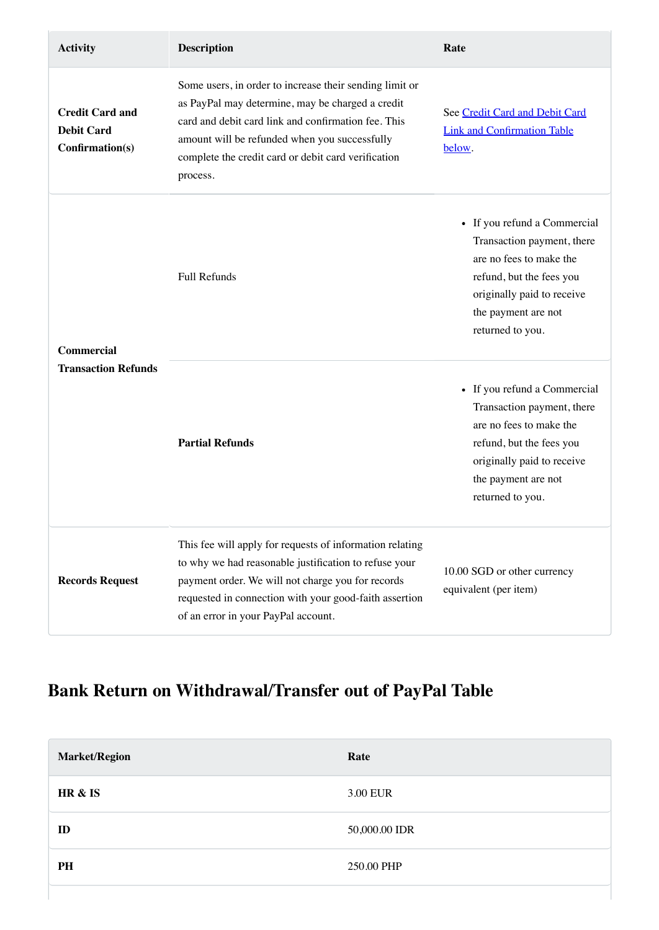| <b>Activity</b>                                                | <b>Description</b>                                                                                                                                                                                                                                                                     | Rate                                                                                                                                                                                       |
|----------------------------------------------------------------|----------------------------------------------------------------------------------------------------------------------------------------------------------------------------------------------------------------------------------------------------------------------------------------|--------------------------------------------------------------------------------------------------------------------------------------------------------------------------------------------|
| <b>Credit Card and</b><br><b>Debit Card</b><br>Confirmation(s) | Some users, in order to increase their sending limit or<br>as PayPal may determine, may be charged a credit<br>card and debit card link and confirmation fee. This<br>amount will be refunded when you successfully<br>complete the credit card or debit card verification<br>process. | See Credit Card and Debit Card<br><b>Link and Confirmation Table</b><br>below.                                                                                                             |
| <b>Commercial</b>                                              | <b>Full Refunds</b><br><b>Partial Refunds</b>                                                                                                                                                                                                                                          | • If you refund a Commercial<br>Transaction payment, there<br>are no fees to make the<br>refund, but the fees you<br>originally paid to receive<br>the payment are not<br>returned to you. |
| <b>Transaction Refunds</b>                                     |                                                                                                                                                                                                                                                                                        | • If you refund a Commercial<br>Transaction payment, there<br>are no fees to make the<br>refund, but the fees you<br>originally paid to receive<br>the payment are not<br>returned to you. |
| <b>Records Request</b>                                         | This fee will apply for requests of information relating<br>to why we had reasonable justification to refuse your<br>payment order. We will not charge you for records<br>requested in connection with your good-faith assertion<br>of an error in your PayPal account.                | 10.00 SGD or other currency<br>equivalent (per item)                                                                                                                                       |

### <span id="page-45-0"></span>**Bank Return on Withdrawal/Transfer out of PayPal Table**

| <b>Market/Region</b> | Rate          |
|----------------------|---------------|
| HR & IS              | 3.00 EUR      |
| ID                   | 50,000.00 IDR |
| PH                   | 250.00 PHP    |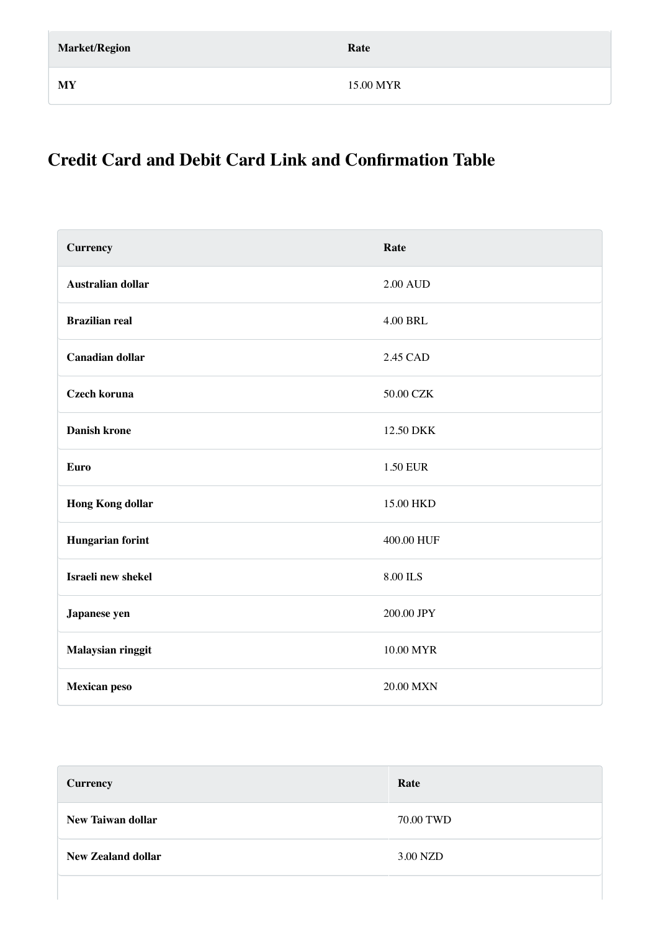<span id="page-46-0"></span>

| <b>Market/Region</b> | Rate      |
|----------------------|-----------|
| <b>MY</b>            | 15.00 MYR |

### **Credit Card and Debit Card Link and Confirmation Table**

| <b>Currency</b>          | Rate            |
|--------------------------|-----------------|
| <b>Australian dollar</b> | <b>2.00 AUD</b> |
| <b>Brazilian real</b>    | <b>4.00 BRL</b> |
| <b>Canadian dollar</b>   | 2.45 CAD        |
| Czech koruna             | 50.00 CZK       |
| <b>Danish krone</b>      | 12.50 DKK       |
| Euro                     | 1.50 EUR        |
| <b>Hong Kong dollar</b>  | 15.00 HKD       |
| <b>Hungarian forint</b>  | 400.00 HUF      |
| Israeli new shekel       | 8.00 ILS        |
| Japanese yen             | 200.00 JPY      |
| Malaysian ringgit        | 10.00 MYR       |
| <b>Mexican peso</b>      | 20.00 MXN       |

| <b>Currency</b>           | Rate      |
|---------------------------|-----------|
| <b>New Taiwan dollar</b>  | 70.00 TWD |
| <b>New Zealand dollar</b> | 3.00 NZD  |
|                           |           |